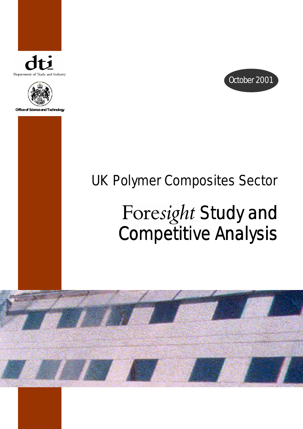



**Office of Science and Technology** 





# UK Polymer Composites Sector

# Foresight Study and Competitive Analysis Competitive Analysis

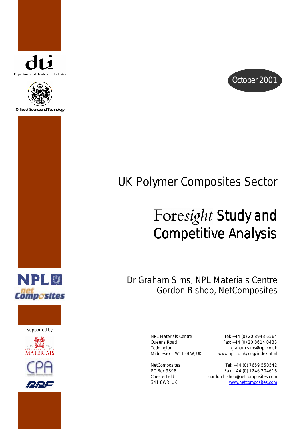

Department of Trade and Industry



**Office of Science and Technology** 







supported by





# UK Polymer Composites Sector

# Foresight Study and Competitive Analysis

Dr Graham Sims, NPL Materials Centre Gordon Bishop, NetComposites

 NPL Materials Centre Tel: +44 (0) 20 8943 6564 Queens Road Fax: +44 (0) 20 8614 0433  $\begin{array}{c}\n\oslash\quad\text{weak}\n\searrow\quad\text{weak}\n\end{array}$  and  $\begin{array}{c}\n\text{N11} \cup \text{N11} \cup \text{N11} \cup \text{N11} \cup \text{N11} \cup \text{N11} \cup \text{N11} \cup \text{N11} \cup \text{N11} \cup \text{N11} \cup \text{N11} \cup \text{N11} \cup \text{N11} \cup \text{N11} \cup \text{N11} \cup \text{N11} \cup \text{N11} \cup \text{N11} \cup \text{N11} \$ Middlesex, TW11 OLW, UK www.npl.co.uk/cog/index.html

> NetComposites Tel: +44 (0) 7659 550542 PO Box 9898 Fax: +44 (0) 1246 204616 Chesterfield gordon.bishop@netcomposites.com www.netcomposites.com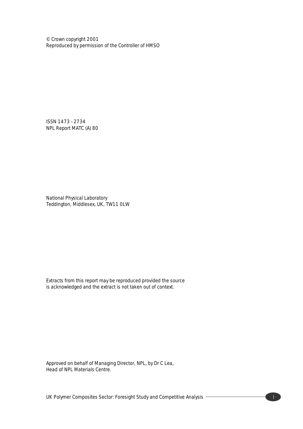© Crown copyright 2001 Reproduced by permission of the Controller of HMSO

ISSN 1473 - 2734 NPL Report MATC (A) 80

National Physical Laboratory Teddington, Middlesex, UK, TW11 0LW

Extracts from this report may be reproduced provided the source is acknowledged and the extract is not taken out of context.

Approved on behalf of Managing Director, NPL, by Dr C Lea, Head of NPL Materials Centre.

UK Polymer Composites Sector: Foresight Study and Competitive Analysis **in the contract of the study of the contract of the study and Competitive Analysis in the contract of the study and Competitive Analysis**  $\overline{\phantom{a}}$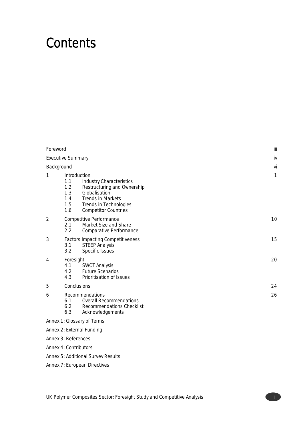# **Contents**

| Foreword                 |                                                                                                                                                                                                                                | iii |
|--------------------------|--------------------------------------------------------------------------------------------------------------------------------------------------------------------------------------------------------------------------------|-----|
| <b>Executive Summary</b> |                                                                                                                                                                                                                                | iv  |
| Background               |                                                                                                                                                                                                                                | vi  |
| 1                        | Introduction<br>1.1<br><b>Industry Characteristics</b><br>1.2<br>Restructuring and Ownership<br>1.3<br>Globalisation<br>1.4<br><b>Trends in Markets</b><br>1.5<br>Trends in Technologies<br><b>Competitor Countries</b><br>1.6 | 1   |
| $\overline{2}$           | Competitive Performance<br>Market Size and Share<br>2.1<br>2.2<br>Comparative Performance                                                                                                                                      | 10  |
| 3                        | <b>Factors Impacting Competitiveness</b><br>3.1<br><b>STEEP Analysis</b><br>3.2<br>Specific Issues                                                                                                                             | 15  |
| 4                        | Foresight<br>4.1<br><b>SWOT Analysis</b><br>4.2<br><b>Future Scenarios</b><br>4.3<br>Prioritisation of Issues                                                                                                                  | 20  |
| 5                        | Conclusions                                                                                                                                                                                                                    | 24  |
| 6                        | Recommendations<br><b>Overall Recommendations</b><br>6.1<br>6.2<br><b>Recommendations Checklist</b><br>6.3<br>Acknowledgements                                                                                                 | 26  |
|                          | Annex 1: Glossary of Terms                                                                                                                                                                                                     |     |
|                          | Annex 2: External Funding                                                                                                                                                                                                      |     |
|                          | Annex 3: References                                                                                                                                                                                                            |     |
|                          | Annex 4: Contributors                                                                                                                                                                                                          |     |

- Annex 5: Additional Survey Results
- Annex 7: European Directives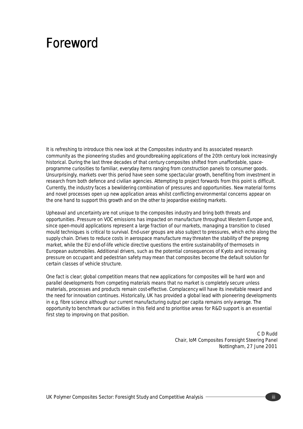# Foreword Foreword

It is refreshing to introduce this new look at the Composites industry and its associated research community as the pioneering studies and groundbreaking applications of the 20th century look increasingly historical. During the last three decades of that century composites shifted from unaffordable, spaceprogramme curiosities to familiar, everyday items ranging from construction panels to consumer goods. Unsurprisingly, markets over this period have seen some spectacular growth, benefiting from investment in research from both defence and civilian agencies. Attempting to project forwards from this point is difficult. Currently, the industry faces a bewildering combination of pressures and opportunities. New material forms and novel processes open up new application areas whilst conflicting environmental concerns appear on the one hand to support this growth and on the other to jeopardise existing markets.

Upheaval and uncertainty are not unique to the composites industry and bring both threats and opportunities. Pressure on VOC emissions has impacted on manufacture throughout Western Europe and, since open-mould applications represent a large fraction of our markets, managing a transition to closed mould techniques is critical to survival. End-user groups are also subject to pressures, which echo along the supply chain. Drives to reduce costs in aerospace manufacture may threaten the stability of the prepreg market, while the EU end-of-life vehicle directive questions the entire sustainability of thermosets in European automobiles. Additional drivers, such as the potential consequences of Kyoto and increasing pressure on occupant and pedestrian safety may mean that composites become the default solution for certain classes of vehicle structure.

One fact is clear; global competition means that new applications for composites will be hard won and parallel developments from competing materials means that no market is completely secure unless materials, processes and products remain cost-effective. Complacency will have its inevitable reward and the need for innovation continues. Historically, UK has provided a global lead with pioneering developments in e.g. fibre science although our current manufacturing output per capita remains only average. The opportunity to benchmark our activities in this field and to prioritise areas for R&D support is an essential first step to improving on that position.

> *C D Rudd Chair, IoM Composites Foresight Steering Panel Nottingham, 27 June 2001*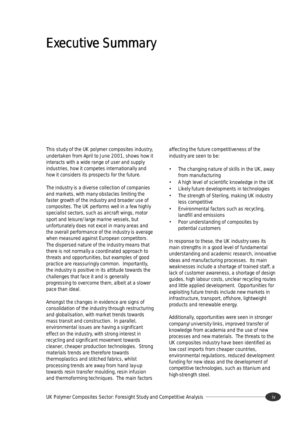## **Executive Summary**

This study of the UK polymer composites industry, undertaken from April to June 2001, shows how it interacts with a wide range of user and supply industries, how it competes internationally and how it considers its prospects for the future.

The industry is a diverse collection of companies and markets, with many obstacles limiting the faster growth of the industry and broader use of composites. The UK performs well in a few highly specialist sectors, such as aircraft wings, motor sport and leisure/large marine vessels, but unfortunately does not excel in many areas and the overall performance of the industry is average when measured against European competitors. The dispersed nature of the industry means that there is not normally a coordinated approach to threats and opportunities, but examples of good practice are reassuringly common. Importantly, the industry is positive in its attitude towards the challenges that face it and is generally progressing to overcome them, albeit at a slower pace than ideal.

Amongst the changes in evidence are signs of consolidation of the industry through restructuring and globalisation, with market trends towards mass transit and construction. In parallel, environmental issues are having a significant effect on the industry, with strong interest in recycling and significant movement towards cleaner, cheaper production technologies. Strong materials trends are therefore towards thermoplastics and stitched fabrics, whilst processing trends are away from hand lay-up towards resin transfer moulding, resin infusion and thermoforming techniques. The main factors

affecting the future competitiveness of the industry are seen to be:

- The changing nature of skills in the UK, away from manufacturing
- A high level of scientific knowledge in the UK
- Likely future developments in technologies
- The strength of Sterling, making UK industry less competitive
- Environmental factors such as recycling, landfill and emissions
- Poor understanding of composites by potential customers

In response to these, the UK industry sees its main strengths in a good level of fundamental understanding and academic research, innovative ideas and manufacturing processes. Its main weaknesses include a shortage of trained staff, a lack of customer awareness, a shortage of design guides, high labour costs, unclear recycling routes and little applied development. Opportunities for exploiting future trends include new markets in infrastructure, transport, offshore, lightweight products and renewable energy.

Additionally, opportunities were seen in stronger company/university links, improved transfer of knowledge from academia and the use of new processes and new materials. The threats to the UK composites industry have been identified as low cost imports from cheaper countries, environmental regulations, reduced development funding for new ideas and the development of competitive technologies, such as titanium and high-strength steel.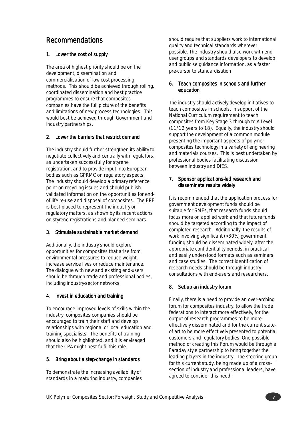## Recommendations

#### 1. Lower the cost of supply

The area of highest priority should be on the development, dissemination and commercialisation of low-cost processing methods. This should be achieved through rolling, coordinated dissemination and best practice programmes to ensure that composites companies have the full picture of the benefits and limitations of new process technologies. This would best be achieved through Government and industry partnerships.

#### 2. Lower the barriers that restrict demand

The industry should further strengthen its ability to negotiate collectively and centrally with regulators, as undertaken successfully for styrene registration, and to provide input into European bodies such as GPRMC on regulatory aspects. The industry should develop a primary reference point on recycling issues and should publish validated information on the opportunities for endof life re-use and disposal of composites. The BPF is best placed to represent the industry on regulatory matters, as shown by its recent actions on styrene registrations and planned seminars.

#### 3. Stimulate sustainable market demand

Additionally, the industry should explore opportunities for composites that arise from environmental pressures to reduce weight, increase service lives or reduce maintenance. The dialogue with new and existing end-users should be through trade and professional bodies, including industry-sector networks.

#### 4. Invest in education and training

To encourage improved levels of skills within the industry, composites companies should be encouraged to train their staff and develop relationships with regional or local education and training specialists. The benefits of training should also be highlighted, and it is envisaged that the CPA might best fulfil this role.

#### 5. Bring about a step-change in standards

To demonstrate the increasing availability of standards in a maturing industry, companies should require that suppliers work to international quality and technical standards wherever possible. The industry should also work with enduser groups and standards developers to develop and publicise guidance information, as a faster pre-cursor to standardisation

#### 6. Teach composites in schools and further education

The industry should actively develop initiatives to teach composites in schools, in support of the National Curriculum requirement to teach composites from Key Stage 3 through to A Level (11/12 years to 18). Equally, the industry should support the development of a common module presenting the important aspects of polymer composites technology in a variety of engineering and materials courses. This is best undertaken by professional bodies facilitating discussion between industry and DfES.

#### 7. Sponsor applications-led research and disseminate results widely

It is recommended that the application process for government development funds should be suitable for SMEs, that research funds should focus more on applied work and that future funds should be targeted according to the impact of completed research. Additionally, the results of work involving significant (>30%) government funding should be disseminated widely, after the appropriate confidentiality periods, in practical and easily understood formats such as seminars and case studies. The correct identification of research needs should be through industry consultations with end-users and researchers.

#### 8. Set up an industry forum

Finally, there is a need to provide an over-arching forum for composites industry, to allow the trade federations to interact more effectively, for the output of research programmes to be more effectively disseminated and for the current stateof art to be more effectively presented to potential customers and regulatory bodies. One possible method of creating this Forum would be through a Faraday style partnership to bring together the leading players in the industry. The steering group for this current study, being made up of a crosssection of industry and professional leaders, have agreed to consider this need.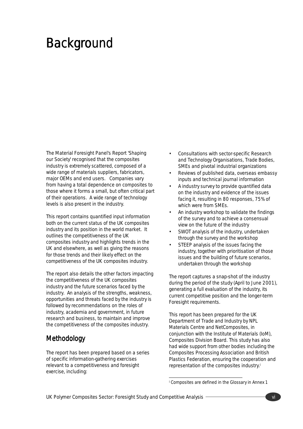# **Background**

The Material Foresight Panel's Report 'Shaping our Society' recognised that the composites industry is extremely scattered, composed of a wide range of materials suppliers, fabricators, major OEMs and end users. Companies vary from having a total dependence on composites to those where it forms a small, but often critical part of their operations. A wide range of technology levels is also present in the industry.

This report contains quantified input information both on the current status of the UK composites industry and its position in the world market. It outlines the competitiveness of the UK composites industry and highlights trends in the UK and elsewhere, as well as giving the reasons for those trends and their likely effect on the competitiveness of the UK composites industry.

The report also details the other factors impacting the competitiveness of the UK composites industry and the future scenarios faced by the industry. An analysis of the strengths, weakness, opportunities and threats faced by the industry is followed by recommendations on the roles of industry, academia and government, in future research and business, to maintain and improve the competitiveness of the composites industry.

## Methodology

The report has been prepared based on a series of specific information-gathering exercises relevant to a competitiveness and foresight exercise, including:

- Consultations with sector-specific Research and Technology Organisations, Trade Bodies, SMEs and pivotal industrial organizations
- Reviews of published data, overseas embassy inputs and technical journal information
- A industry survey to provide quantified data on the industry and evidence of the issues facing it, resulting in 80 responses, 75% of which were from SMEs.
- An industry workshop to validate the findings of the survey and to achieve a consensual view on the future of the industry
- SWOT analysis of the industry, undertaken through the survey and the workshop
- STEEP analysis of the issues facing the industry, together with prioritisation of those issues and the building of future scenarios, undertaken through the workshop

The report captures a snap-shot of the industry during the period of the study (April to June 2001), generating a full evaluation of the industry, its current competitive position and the longer-term Foresight requirements.

This report has been prepared for the UK Department of Trade and Industry by NPL Materials Centre and NetComposites, in conjunction with the Institute of Materials (IoM), Composites Division Board. This study has also had wide support from other bodies including the Composites Processing Association and British Plastics Federation, ensuring the cooperation and representation of the composites industry.<sup>i</sup>

 $\overline{\phantom{a}}$ i Composites are defined in the Glossary in Annex 1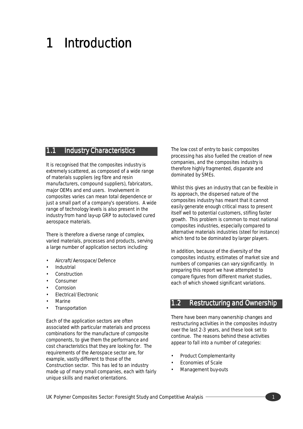# 1 Introduction

#### 1.1 Industry Characteristics

It is recognised that the composites industry is extremely scattered, as composed of a wide range of materials suppliers (eg fibre and resin manufacturers, compound suppliers), fabricators, major OEMs and end users. Involvement in composites varies can mean total dependence or just a small part of a company's operations. A wide range of technology levels is also present in the industry from hand lay-up GRP to autoclaved cured aerospace materials.

There is therefore a diverse range of complex, varied materials, processes and products, serving a large number of application sectors including:

- Aircraft/Aerospace/Defence
- **Industrial**
- **Construction**
- Consumer
- **Corrosion**
- Electrical/Electronic
- **Marine**
- **Transportation**

Each of the application sectors are often associated with particular materials and process combinations for the manufacture of composite components, to give them the performance and cost characteristics that they are looking for. The requirements of the Aerospace sector are, for example, vastly different to those of the Construction sector. This has led to an industry made up of many small companies, each with fairly unique skills and market orientations.

The low cost of entry to basic composites processing has also fuelled the creation of new companies, and the composites industry is therefore highly fragmented, disparate and dominated by SMEs.

Whilst this gives an industry that can be flexible in its approach, the dispersed nature of the composites industry has meant that it cannot easily generate enough critical mass to present itself well to potential customers, stifling faster growth. This problem is common to most national composites industries, especially compared to alternative materials industries (steel for instance) which tend to be dominated by larger players.

In addition, because of the diversity of the composites industry, estimates of market size and numbers of companies can vary significantly. In preparing this report we have attempted to compare figures from different market studies, each of which showed significant variations.

## 1.2 Restructuring and Ownership

There have been many ownership changes and restructuring activities in the composites industry over the last 2-3 years, and these look set to continue. The reasons behind these activities appear to fall into a number of categories:

- Product Complementarity
- Economies of Scale
- Management buy-outs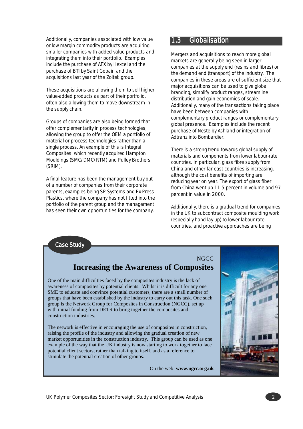Additionally, companies associated with low value or low margin commodity products are acquiring smaller companies with added value products and integrating them into their portfolio. Examples include the purchase of AFX by Hexcel and the purchase of BTI by Saint Gobain and the acquisitions last year of the Zoltek group.

These acquisitions are allowing them to sell higher value-added products as part of their portfolio, often also allowing them to move downstream in the supply chain.

Groups of companies are also being formed that offer complementarity in process technologies, allowing the group to offer the OEM a portfolio of material or process technologies rather than a single process. An example of this is Integral Composites, which recently acquired Hampton Mouldings (SMC/DMC/RTM) and Pulley Brothers (SRIM).

A final feature has been the management buy-out of a number of companies from their corporate parents, examples being SP Systems and Ex-Press Plastics, where the company has not fitted into the portfolio of the parent group and the management has seen their own opportunities for the company.

## 1.3 Globalisation

Mergers and acquisitions to reach more global markets are generally being seen in larger companies at the supply end (resins and fibres) or the demand end (transport) of the industry. The companies in these areas are of sufficient size that major acquisitions can be used to give global branding, simplify product ranges, streamline distribution and gain economies of scale. Additionally, many of the transactions taking place have been between companies with complementary product ranges or complementary global presence. Examples include the recent purchase of Neste by Ashland or integration of Adtranz into Bombardier.

There is a strong trend towards global supply of materials and components from lower labour-rate countries. In particular, glass fibre supply from China and other far-east countries is increasing, although the cost benefits of importing are reducing year on year. The export of glass fiber from China went up 11.5 percent in volume and 97 percent in value in 2000.

Additionally, there is a gradual trend for companies in the UK to subcontract composite moulding work (especially hand lay-up) to lower labour rate countries, and proactive approaches are being

#### Case Study

## NGCC **Increasing the Awareness of Composites**

One of the main difficulties faced by the composites industry is the lack of awareness of composites by potential clients. Whilst it is difficult for any one SME to educate and convince potential customers, there are a small number of groups that have been established by the industry to carry out this task. One such group is the Network Group for Composites in Construction (NGCC), set up with initial funding from DETR to bring together the composites and construction industries.

The network is effective in encouraging the use of composites in construction, raising the profile of the industry and allowing the gradual creation of new market opportunities in the construction industry. This group can be used as one example of the way that the UK industry is now starting to work together to face potential client sectors, rather than talking to itself, and as a reference to stimulate the potential creation of other groups.

On the web: **www.ngcc.org.uk**

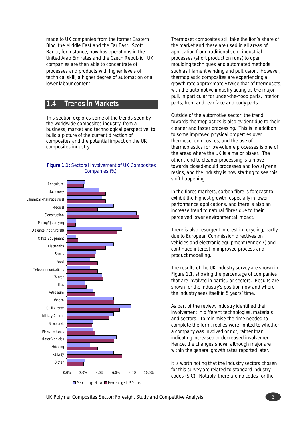made to UK companies from the former Eastern Bloc, the Middle East and the Far East. Scott Bader, for instance, now has operations in the United Arab Emirates and the Czech Republic. UK companies are then able to concentrate of processes and products with higher levels of technical skill, a higher degree of automation or a lower labour content.

## 1.4 Trends in Markets

This section explores some of the trends seen by the worldwide composites industry, from a business, market and technological perspective, to build a picture of the current direction of composites and the potential impact on the UK composites industry.





Percentage Now Percentage in 5 Years

Thermoset composites still take the lion's share of the market and these are used in all areas of application from traditional semi-industrial processes (short production runs) to open moulding techniques and automated methods such as filament winding and pultrusion. However, thermoplastic composites are experiencing a growth rate approximately twice that of thermosets, with the automotive industry acting as the major pull, in particular for under-the-hood parts, interior parts, front and rear face and body parts.

Outside of the automotive sector, the trend towards thermoplastics is also evident due to their cleaner and faster processing. This is in addition to some improved physical properties over thermoset composites, and the use of thermoplastics for low-volume processes is one of the areas where the UK is a major player. The other trend to cleaner processing is a move towards closed-mould processes and low styrene resins, and the industry is now starting to see this shift happening.

In the fibres markets, carbon fibre is forecast to exhibit the highest growth, especially in lower performance applications, and there is also an increase trend to natural fibres due to their perceived lower environmental impact.

There is also resurgent interest in recycling, partly due to European Commission directives on vehicles and electronic equipment (Annex 7) and continued interest in improved process and product modelling.

The results of the UK industry survey are shown in Figure 1.1, showing the percentage of companies that are involved in particular sectors. Results are shown for the industry's position now and where the industry sees itself in 5 years' time.

As part of the review, industry identified their involvement in different technologies, materials and sectors. To minimise the time needed to complete the form, replies were limited to whether a company was involved or not, rather than indicating increased or decreased involvement. Hence, the changes shown although major are within the general growth rates reported later.

It is worth noting that the industry sectors chosen for this survey are related to standard industry codes (SIC). Notably, there are no codes for the *0.0% 2.0% 4.0% 6.0% 8.0% 10.0%*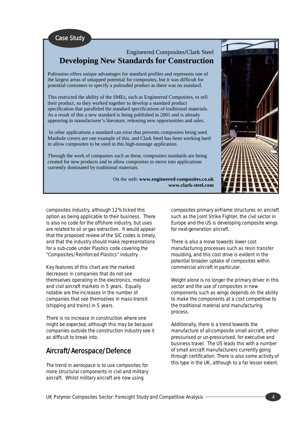**Case Study** 

## Engineered Composites/Clark Steel **Developing New Standards for Construction**

Pultrusion offers unique advantages for standard profiles and represents one of the largest areas of untapped potential for composites, but it was difficult for potential customers to specify a pultruded product as there was no standard.

This restricted the ability of the SMEs, such as Engineered Composites, to sell their product, so they worked together to develop a standard product specification that paralleled the standard specifications of traditional materials. As a result of this a new standard is being published in 2001 and is already appearing in manufacturer's literature, releasing new opportunities and sales.

 In other applications a standard can exist that prevents composites being used. Manhole covers are one example of this, and Clark Steel has been working hard to allow composites to be used in this high-tonnage application.

Through the work of companies such as these, composites standards are being created for new products and to allow composites to move into applications currently dominated by traditional materials.

On the web: **www.engineered-composites.co.uk www.clark-steel.com** 

composites industry, although 12% ticked this option as being applicable to their business. There is also no code for the offshore industry, but uses are related to oil or gas extraction. It would appear that the proposed review of the SIC codes is timely, and that the industry should make representations for a sub-code under Plastics code covering the "Composites/Reinforced Plastics" industry.

Key features of this chart are the marked decreases in companies that do not see themselves operating in the electronics, medical and civil aircraft markets in 5 years. Equally notable are the increases in the number of companies that see themselves in mass-transit (shipping and trains) in 5 years.

There is no increase in construction where one might be expected, although this may be because companies outside the construction industry see it as difficult to break into.

## Aircraft/Aerospace/Defence

The trend in aerospace is to use composites for more structural components in civil and military aircraft. Whilst military aircraft are now using

composites primary airframe structures on aircraft such as the Joint Strike Fighter, the civil sector in Europe and the US is developing composite wings for next-generation aircraft.

There is also a move towards lower cost manufacturing processes such as resin transfer moulding, and this cost drive is evident in the potential broader uptake of composites within commercial aircraft in particular.

Weight alone is no longer the primary driver in this sector and the use of composites in new components such as wings depends on the ability to make the components at a cost competitive to the traditional material and manufacturing process.

Additionally, there is a trend towards the manufacture of all-composite small aircraft, either pressurised or un-pressurised, for executive and business travel. The US leads this with a number of small aircraft manufacturers currently going through certification. There is also some activity of this type in the UK, although to a far lesser extent.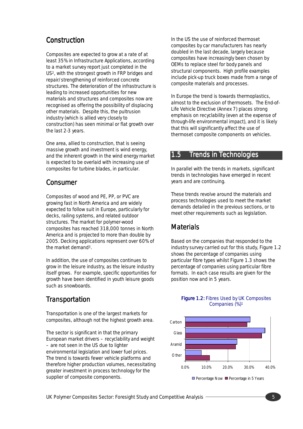## **Construction**

Composites are expected to grow at a rate of at least 35% in Infrastructure Applications, according to a market survey report just completed in the US2, with the strongest growth in FRP bridges and repair/strengthening of reinforced concrete structures. The deterioration of the infrastructure is leading to increased opportunities for new materials and structures and composites now are recognised as offering the possibility of displacing other materials. Despite this, the pultrusion industry (which is allied very closely to construction) has seen minimal or flat growth over the last 2-3 years.

One area, allied to construction, that is seeing massive growth and investment is wind energy, and the inherent growth in the wind energy market is expected to be overlaid with increasing use of composites for turbine blades, in particular.

## **Consumer**

Composites of wood and PE, PP, or PVC are growing fast in North America and are widely expected to follow suit in Europe, particularly for decks, railing systems, and related outdoor structures. The market for polymer-wood composites has reached 318,000 tonnes in North America and is projected to more than double by 2005. Decking applications represent over 60% of the market demand<sup>3</sup>.

In addition, the use of composites continues to grow in the leisure industry, as the leisure industry itself grows. For example, specific opportunities for growth have been identified in youth leisure goods such as snowboards.

## **Transportation**

Transportation is one of the largest markets for composites, although not the highest growth area.

The sector is significant in that the primary European market drivers – recyclability and weight – are not seen in the US due to lighter environmental legislation and lower fuel prices. The trend is towards fewer vehicle platforms and therefore higher production volumes, necessitating greater investment in process technology for the supplier of composite components.

In the US the use of reinforced thermoset composites by car manufacturers has nearly doubled in the last decade, largely because composites have increasingly been chosen by OEMs to replace steel for body panels and structural components. High profile examples include pick-up truck boxes made from a range of composite materials and processes.

In Europe the trend is towards thermoplastics, almost to the exclusion of thermosets. The End-of-Life Vehicle Directive (Annex 7) places strong emphasis on recyclability (even at the expense of through-life environmental impact), and it is likely that this will significantly affect the use of thermoset composite components on vehicles.

## 1.5 Trends in Technologies

In parallel with the trends in markets, significant trends in technologies have emerged in recent years and are continuing.

These trends revolve around the materials and process technologies used to meet the market demands detailed in the previous sections, or to meet other requirements such as legislation.

## **Materials**

Based on the companies that responded to the industry survey carried out for this study, Figure 1.2 shows the percentage of companies using particular fibre types whilst Figure 1.3 shows the percentage of companies using particular fibre formats. In each case results are given for the position now and in 5 years.

#### Figure 1.2: Fibres Used by UK Composites Companies (%)1



UK Polymer Composites Sector: Foresight Study and Competitive Analysis **5 1999 1999 1999 1999 1999 1999 1999 1999 1999 1999 1999 1999 1999 1999 1999 1999 1999 1999 1999 1999 1999**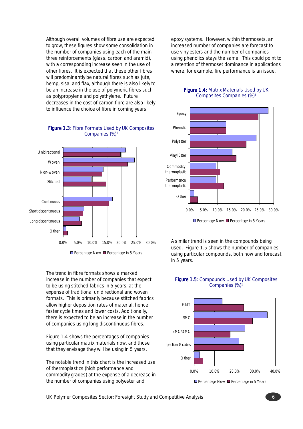Although overall volumes of fibre use are expected to grow, these figures show some consolidation in the number of companies using each of the main three reinforcements (glass, carbon and aramid), with a corresponding increase seen in the use of other fibres. It is expected that these other fibres will predominantly be natural fibres such as jute. hemp, sisal and flax, although there is also likely to be an increase in the use of polymeric fibres such as polypropylene and polyethylene. Future decreases in the cost of carbon fibre are also likely to influence the choice of fibre in coming years.

Figure 1.3: Fibre Formats Used by UK Composites



The trend in fibre formats shows a marked increase in the number of companies that expect to be using stitched fabrics in 5 years, at the expense of traditional unidirectional and woven formats. This is primarily because stitched fabrics allow higher deposition rates of material, hence faster cycle times and lower costs. Additionally, there is expected to be an increase in the number of companies using long discontinuous fibres.

Figure 1.4 shows the percentages of companies using particular matrix materials now, and those that they envisage they will be using in 5 years.

The notable trend in this chart is the increased use of thermoplastics (high performance and commodity grades) at the expense of a decrease in the number of companies using polyester and

epoxy systems. However, within thermosets, an increased number of companies are forecast to use vinylesters and the number of companies using phenolics stays the same. This could point to a retention of thermoset dominance in applications where, for example, fire performance is an issue.

## *0.0% 5.0% 10.0% 15.0% 20.0% 25.0% 30.0% Epoxy Phenolic Polyester V inyl Ester Commodity thermoplastic Performance thermoplastic O ther*  $\Box$  Percentage Now  $\Box$  Percentage in 5 Years

A similar trend is seen in the compounds being used. Figure 1.5 shows the number of companies using particular compounds, both now and forecast in 5 years.

#### Figure 1.5: Compounds Used by UK Composites Companies (%)<sup>1</sup>



#### **Figure 1.4: Matrix Materials Used by UK** Composites Companies (%)1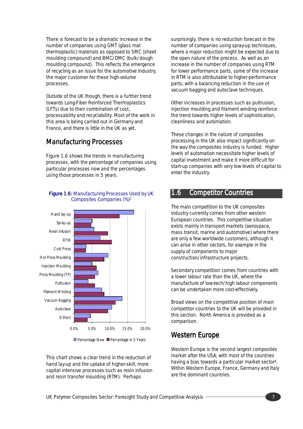There is forecast to be a dramatic increase in the number of companies using GMT (glass mat thermoplastic) materials as opposed to SMC (sheet moulding compound) and BMC/DMC (bulk/dough moulding compound). This reflects the emergence of recycling as an issue for the automotive industry, the major customer for these high-volume processes.

Outside of the UK though, there is a further trend towards Long-Fiber Reinforced Thermoplastics (LFTs) due to their combination of cost, processability and recyclability. Most of the work in this area is being carried out in Germany and France, and there is little in the UK as yet.

## **Manufacturing Processes**

Figure 1.6 shows the trends in manufacturing processes, with the percentage of companies using particular processes now and the percentages using those processes in 5 years.

#### Figure 1.6: Manufacturing Processes Used by UK Composites Companies (%)1



 $\Box$  Percentage Now  $\Box$  Percentage in 5 Years

This chart shows a clear trend in the reduction of hand lay-up and the uptake of higher-skill, more capital intensive processes such as resin infusion and resin transfer moulding (RTM). Perhaps

surprisingly, there is no reduction forecast in the number of companies using spray-up techniques, where a major reduction might be expected due to the open nature of the process. As well as an increase in the number of companies using RTM for lower performance parts, some of the increase in RTM is also attributable to higher-performance parts, with a balancing reduction in the use of vacuum bagging and autoclave techniques.

Other increases in processes such as pultrusion, injection moulding and filament winding reinforce the trend towards higher levels of sophistication, cleanliness and automation.

These changes in the nature of composites processing in the UK also impact significantly on the way the composites industry is funded. Higher levels of automation necessitate higher levels of capital investment and make it more difficult for start-up companies with very low levels of capital to enter the industry.

## 1.6 Competitor Countries

The main competition to the UK composites industry currently comes from other western European countries. This competitive situation exists mainly in transport markets (aerospace, mass transit, marine and automotive) where there are only a few worldwide customers, although it can arise in other sectors, for example in the supply of components to major construction/infrastructure projects.

Secondary competition comes from countries with a lower labour rate than the UK, where the manufacture of low-tech/high labour components can be undertaken more cost-effectively.

Broad views on the competitive position of main competitor countries to the UK will be provided in this section. North America is provided as a comparison.

## Western Europe

Western Europe is the second largest composites market after the USA, with most of the countries having a bias towards a particular market sector4. Within Western Europe, France, Germany and Italy are the dominant countries.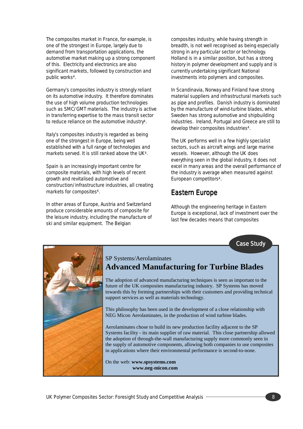The composites market in France, for example, is one of the strongest in Europe, largely due to demand from transportation applications, the automotive market making up a strong component of this. Electricity and electronics are also significant markets, followed by construction and public works4.

Germany's composites industry is strongly reliant on its automotive industry. It therefore dominates the use of high volume production technologies such as SMC/GMT materials. The industry is active in transferring expertise to the mass transit sector to reduce reliance on the automotive industry4.

Italy's composites industry is regarded as being one of the strongest in Europe, being well established with a full range of technologies and markets served. It is still ranked above the UK4.

Spain is an increasingly important centre for composite materials, with high levels of recent growth and revitalised automotive and construction/infrastructure industries, all creating markets for composites4.

In other areas of Europe, Austria and Switzerland produce considerable amounts of composite for the leisure industry, including the manufacture of ski and similar equipment. The Belgian

composites industry, while having strength in breadth, is not well recognised as being especially strong in any particular sector or technology. Holland is in a similar position, but has a strong history in polymer development and supply and is currently undertaking significant National investments into polymers and composites.

In Scandinavia, Norway and Finland have strong material suppliers and infrastructural markets such as pipe and profiles. Danish industry is dominated by the manufacture of wind-turbine blades, whilst Sweden has strong automotive and shipbuilding industries. Ireland, Portugal and Greece are still to develop their composites industries4.

The UK performs well in a few highly specialist sectors, such as aircraft wings and large marine vessels. However, although the UK does everything seen in the global industry, it does not excel in many areas and the overall performance of the industry is average when measured against European competitors4.

## Eastern Europe

Although the engineering heritage in Eastern Europe is exceptional, lack of investment over the last few decades means that composites

**Case Study** 



## SP Systems/Aerolaminates **Advanced Manufacturing for Turbine Blades**

The adoption of advanced manufacturing techniques is seen as important to the future of the UK composites manufacturing industry. SP Systems has moved towards this by forming partnerships with their customers and providing technical support services as well as materials technology.

This philosophy has been used in the development of a close relationship with NEG Micon Aerolaminates, in the production of wind turbine blades.

Aerolaminates chose to build its new production facility adjacent to the SP Systems facility - its main supplier of raw material. This close partnership allowed the adoption of through-the-wall manufacturing supply more commonly seen in the supply of automotive components, allowing both companies to use composites in applications where their environmental performance is second-to-none.

On the web: **www.spsystems.com www.neg-micon.com**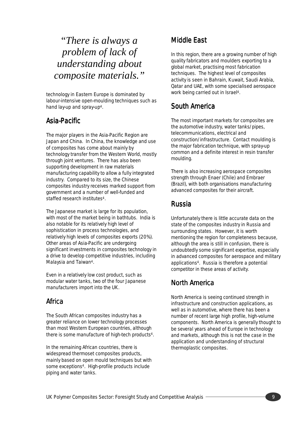## "*There is always a problem of lack of understanding about composite materials."*

technology in Eastern Europe is dominated by labour-intensive open-moulding techniques such as hand lay-up and spray-up4.

## Asia-Pacific

The major players in the Asia-Pacific Region are Japan and China. In China, the knowledge and use of composites has come about mainly by technology transfer from the Western World, mostly through joint ventures. There has also been supporting development in raw materials manufacturing capability to allow a fully integrated industry. Compared to its size, the Chinese composites industry receives marked support from government and a number of well-funded and staffed research institutes4.

The Japanese market is large for its population, with most of the market being in bathtubs. India is also notable for its relatively high level of sophistication in process technologies, and relatively high levels of composites exports (20%). Other areas of Asia-Pacific are undergoing significant investments in composites technology in a drive to develop competitive industries, including Malaysia and Taiwan4.

Even in a relatively low cost product, such as modular water tanks, two of the four Japanese manufacturers import into the UK.

## Africa

The South African composites industry has a greater reliance on lower technology processes than most Western European countries, although there is some manufacture of high-tech products4.

In the remaining African countries, there is widespread thermoset composites products, mainly based on open mould techniques but with some exceptions4. High-profile products include piping and water tanks.

## Middle East

In this region, there are a growing number of high quality fabricators and moulders exporting to a global market, practising most fabrication techniques. The highest level of composites activity is seen in Bahrain, Kuwait, Saudi Arabia, Qatar and UAE, with some specialised aerospace work being carried out in Israel4.

## South America

The most important markets for composites are the automotive industry, water tanks/pipes, telecommunications, electrical and construction/infrastructure. Contact moulding is the major fabrication technique, with spray-up common and a definite interest in resin transfer moulding.

There is also increasing aerospace composites strength through Enaer (Chile) and Embraer (Brazil), with both organisations manufacturing advanced composites for their aircraft.

## Russia

Unfortunately there is little accurate data on the state of the composites industry in Russia and surrounding states. However, it is worth mentioning the region for completeness because, although the area is still in confusion, there is undoubtedly some significant expertise, especially in advanced composites for aerospace and military applications4. Russia is therefore a potential competitor in these areas of activity.

## North America

North America is seeing continued strength in infrastructure and construction applications, as well as in automotive, where there has been a number of recent large high profile, high-volume components. North America is generally thought to be several years ahead of Europe in technology and markets, although this is not the case in the application and understanding of structural thermoplastic composites.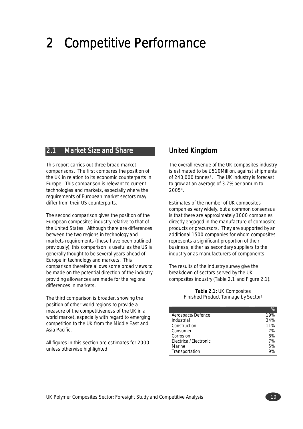# 2 Competitive Performance

#### 2.1 Market Size and Share

This report carries out three broad market comparisons. The first compares the position of the UK in relation to its economic counterparts in Europe. This comparison is relevant to current technologies and markets, especially where the requirements of European market sectors may differ from their US counterparts.

The second comparison gives the position of the European composites industry relative to that of the United States. Although there are differences between the two regions in technology and markets requirements (these have been outlined previously), this comparison is useful as the US is generally thought to be several years ahead of Europe in technology and markets. This comparison therefore allows some broad views to be made on the potential direction of the industry, providing allowances are made for the regional differences in markets.

The third comparison is broader, showing the position of other world regions to provide a measure of the competitiveness of the UK in a world market, especially with regard to emerging competition to the UK from the Middle East and Asia-Pacific.

All figures in this section are estimates for 2000, unless otherwise highlighted.

## United Kingdom

The overall revenue of the UK composites industry is estimated to be £510Million, against shipments of 240,000 tonnes<sup>5</sup>. The UK industry is forecast to grow at an average of 3.7% per annum to 20054.

Estimates of the number of UK composites companies vary widely, but a common consensus is that there are approximately 1000 companies directly engaged in the manufacture of composite products or precursors. They are supported by an additional 1500 companies for whom composites represents a significant proportion of their business, either as secondary suppliers to the industry or as manufacturers of components.

The results of the industry survey give the breakdown of sectors served by the UK composites industry (Table 2.1 and Figure 2.1).

> Table 2.1: UK Composites Finished Product Tonnage by Sector1

|                       | $\%$  |
|-----------------------|-------|
| Aerospace/Defence     | 19%   |
| Industrial            | 34%   |
| Construction          | 11%   |
| Consumer              | 7%    |
| Corrosion             | 8%    |
| Electrical/Electronic | 7%    |
| Marine                | 5%    |
| Transportation        | $Q\%$ |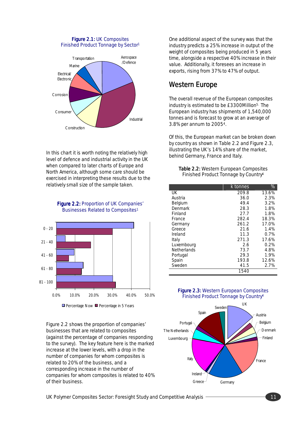#### Figure 2.1: UK Composites Finished Product Tonnage by Sector1



In this chart it is worth noting the relatively high level of defence and industrial activity in the UK when compared to later charts of Europe and North America, although some care should be exercised in interpreting these results due to the relatively small size of the sample taken.

> Figure 2.2: Proportion of UK Companies' Businesses Related to Composites1



 $\Box$  Percentage Now  $\Box$  Percentage in 5 Years

Figure 2.2 shows the proportion of companies' businesses that are related to composites (against the percentage of companies responding to the survey). The key feature here is the marked increase at the lower levels, with a drop in the number of companies for whom composites is related to 20% of the business, and a corresponding increase in the number of companies for whom composites is related to 40% of their business.

One additional aspect of the survey was that the industry predicts a 25% increase in output of the weight of composites being produced in 5 years time, alongside a respective 40% increase in their value. Additionally, it foresees an increase in exports, rising from 37% to 47% of output.

## Western Europe

The overall revenue of the European composites industry is estimated to be £3300Million5. The European industry has shipments of 1,540,000 tonnes and is forecast to grow at an average of 3.8% per annum to 20054.

Of this, the European market can be broken down by country as shown in Table 2.2 and Figure 2.3, illustrating the UK's 14% share of the market, behind Germany, France and Italy.

Table 2.2: Western European Composites Finished Product Tonnage by Country4

|                    | k tonnes | %     |
|--------------------|----------|-------|
| UК                 | 209.8    | 13.6% |
| Austria            | 36.0     | 2.3%  |
| Belgium            | 49.4     | 3.2%  |
| Denmark            | 28.3     | 1.8%  |
| Finland            | 27.7     | 1.8%  |
| France             | 282.4    | 18.3% |
| Germany            | 261.2    | 17.0% |
| Greece             | 21.6     | 1.4%  |
| Ireland            | 11.3     | 0.7%  |
| Italy              | 271.3    | 17.6% |
| Luxembourg         | 2.6      | 0.2%  |
| <b>Netherlands</b> | 73.7     | 4.8%  |
| Portugal           | 29.3     | 1.9%  |
| Spain              | 193.8    | 12.6% |
| Sweden             | 41.5     | 2.7%  |
|                    | 1540     |       |



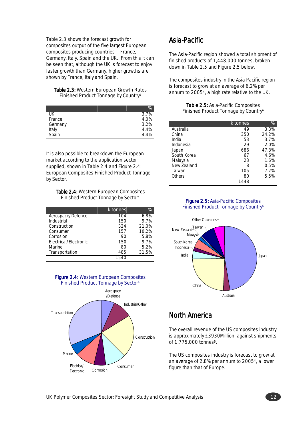Table 2.3 shows the forecast growth for composites output of the five largest European composites-producing countries – France, Germany, Italy, Spain and the UK. From this it can be seen that, although the UK is forecast to enjoy faster growth than Germany, higher growths are shown by France, Italy and Spain.

#### Table 2.3: Western European Growth Rates Finished Product Tonnage by Country4

|         | %    |
|---------|------|
| UK      | 3.7% |
| France  | 4.0% |
| Germany | 3.2% |
| Italy   | 4.4% |
| Spain   | 4.4% |

It is also possible to breakdown the European market according to the application sector supplied, shown in Table 2.4 and Figure 2.4: European Composites Finished Product Tonnage by Sector.

Table 2.4: Western European Composites Finished Product Tonnage by Sector4

|                       | k tonnes | $\%$  |
|-----------------------|----------|-------|
| Aerospace/Defence     | 104      | 6.8%  |
| Industrial            | 150      | 9.7%  |
| Construction          | 324      | 21.0% |
| Consumer              | 157      | 10.2% |
| Corrosion             | 90       | 5.8%  |
| Electrical/Electronic | 150      | 9.7%  |
| Marine                | 80       | 5.2%  |
| Transportation        | 485      | 31.5% |
|                       | 1540     |       |



Corrosion

Electrical/ Electronic

## Asia-Pacific

The Asia-Pacific region showed a total shipment of finished products of 1,448,000 tonnes, broken down in Table 2.5 and Figure 2.5 below.

The composites industry in the Asia-Pacific region is forecast to grow at an average of 6.2% per annum to 20054, a high rate relative to the UK.

#### Table 2.5: Asia-Pacific Composites Finished Product Tonnage by Country4

|             | k tonnes | %     |
|-------------|----------|-------|
| Australia   | 49       | 3.3%  |
| China       | 350      | 24.2% |
| India       | 53       | 3.7%  |
| Indonesia   | 29       | 2.0%  |
| Japan       | 686      | 47.3% |
| South Korea | 67       | 4.6%  |
| Malaysia    | 23       | 1.6%  |
| New Zealand | 8        | 0.5%  |
| Taiwan      | 105      | 7.2%  |
| Others      | 80       | 5.5%  |
|             | 1448     |       |

#### Figure 2.5: Asia-Pacific Composites Finished Product Tonnage by Country4



## North America

The overall revenue of the US composites industry is approximately £3930Million, against shipments of 1,775,000 tonnes<sup>6</sup>.

The US composites industry is forecast to grow at an average of 2.8% per annum to 20054, a lower figure than that of Europe.

Consumer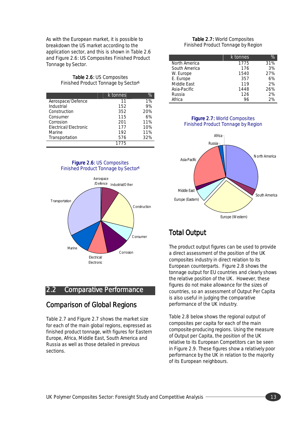As with the European market, it is possible to breakdown the US market according to the application sector, and this is shown in Table 2.6 and Figure 2.6: US Composites Finished Product Tonnage by Sector.

#### Table 2.6: US Composites Finished Product Tonnage by Sector6

|                       | k tonnes | ℅   |
|-----------------------|----------|-----|
| Aerospace/Defence     | 11       | 1%  |
| Industrial            | 152      | 9%  |
| Construction          | 352      | 20% |
| Consumer              | 115      | 6%  |
| Corrosion             | 201      | 11% |
| Electrical/Electronic | 177      | 10% |
| Marine                | 192      | 11% |
| Transportation        | 576      | 32% |
|                       | 1775     |     |





## 2.2 Comparative Performance

## **Comparison of Global Regions**

Table 2.7 and Figure 2.7 shows the market size for each of the main global regions, expressed as finished product tonnage, with figures for Eastern Europe, Africa, Middle East, South America and Russia as well as those detailed in previous sections.

#### Table 2.7: World Composites Finished Product Tonnage by Region

|               | k tonnes | ℅   |
|---------------|----------|-----|
| North America | 1775     | 31% |
| South America | 176      | 3%  |
| W. Europe     | 1540     | 27% |
| E. Europe     | 357      | 6%  |
| Middle East   | 119      | 2%  |
| Asia-Pacific  | 1448     | 26% |
| Russia        | 126      | 2%  |
| Africa        | 96       | 2%  |

#### Figure 2.7: World Composites Finished Product Tonnage by Region



## **Total Output**

The product output figures can be used to provide a direct assessment of the position of the UK composites industry in direct relation to its European counterparts. Figure 2.8 shows the tonnage output for EU countries and clearly shows the relative position of the UK. However, these figures do not make allowance for the sizes of countries, so an assessment of Output Per Capita is also useful in judging the comparative performance of the UK industry.

Table 2.8 below shows the regional output of composites per capita for each of the main composite-producing regions. Using the measure of Output per Capita, the position of the UK relative to its European Competitors can be seen in Figure 2.9. These figures show a relatively poor performance by the UK in relation to the majority of its European neighbours.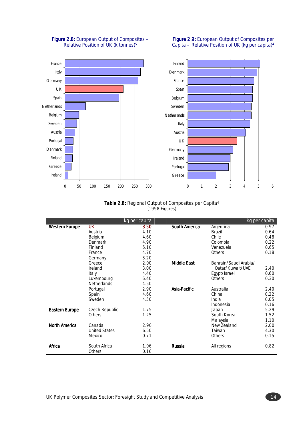

Figure 2.8: European Output of Composites -Relative Position of UK (k tonnes)5

#### Figure 2.9: European Output of Composites per Capita – Relative Position of UK (kg per capita)4

Table 2.8: Regional Output of Composites per Capita<sup>4</sup> (1998 Figures)

|                       |                      | kg per capita |                    |                       | kg per capita |
|-----------------------|----------------------|---------------|--------------------|-----------------------|---------------|
| <b>Western Europe</b> | <b>UK</b>            | 3.50          | South America      | Argentina             | 0.97          |
|                       | Austria              | 4.10          |                    | <b>Brazil</b>         | 0.64          |
|                       | Belgium              | 4.60          |                    | Chile                 | 0.48          |
|                       | <b>Denmark</b>       | 4.90          |                    | Colombia              | 0.22          |
|                       | Finland              | 5.10          |                    | Venezuela             | 0.65          |
|                       | France               | 4.70          |                    | <b>Others</b>         | 0.18          |
|                       | Germany              | 3.20          |                    |                       |               |
|                       | Greece               | 2.00          | <b>Middle East</b> | Bahrain/Saudi Arabia/ |               |
|                       | Ireland              | 3.00          |                    | Qatar/Kuwait/UAE      | 2.40          |
|                       | Italy                | 4.40          |                    | Egypt/Israel          | 0.60          |
|                       | Luxembourg           | 6.40          |                    | Others                | 0.30          |
|                       | <b>Netherlands</b>   | 4.50          |                    |                       |               |
|                       | Portugal             | 2.90          | Asia-Pacific       | Australia             | 2.40          |
|                       | Spain                | 4.60          |                    | China                 | 0.22          |
|                       | Sweden               | 4.50          |                    | India                 | 0.05          |
|                       |                      |               |                    | Indonesia             | 0.16          |
| <b>Eastern Europe</b> | Czech Republic       | 1.75          |                    | Japan                 | 5.29          |
|                       | Others               | 1.25          |                    | South Korea           | 1.52          |
|                       |                      |               |                    | Malaysia              | 1.10          |
| <b>North America</b>  | Canada               | 2.90          |                    | New Zealand           | 2.00          |
|                       | <b>United States</b> | 6.50          |                    | Taiwan                | 4.30          |
|                       | Mexico               | 0.71          |                    | Others                | 0.15          |
| Africa                | South Africa         | 1.06          | <b>Russia</b>      | All regions           | 0.82          |
|                       | Others               | 0.16          |                    |                       |               |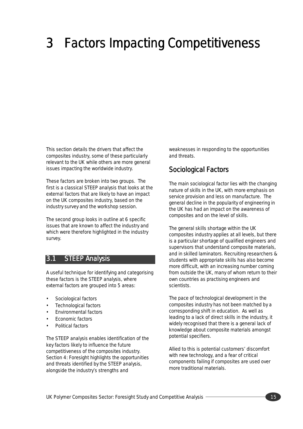# 3 Factors Impacting Competitiveness

This section details the drivers that affect the composites industry, some of these particularly relevant to the UK while others are more general issues impacting the worldwide industry.

These factors are broken into two groups. The first is a classical STEEP analysis that looks at the external factors that are likely to have an impact on the UK composites industry, based on the industry survey and the workshop session.

The second group looks in outline at 6 specific issues that are known to affect the industry and which were therefore highlighted in the industry survey.

## 3.1 STEEP Analysis

A useful technique for identifying and categorising these factors is the STEEP analysis, where external factors are grouped into 5 areas:

- Sociological factors
- Technological factors
- Environmental factors
- Economic factors
- Political factors

The STEEP analysis enables identification of the key factors likely to influence the future competitiveness of the composites industry. Section 4: Foresight highlights the opportunities and threats identified by the STEEP analysis, alongside the industry's strengths and

weaknesses in responding to the opportunities and threats.

## Sociological Factors

The main sociological factor lies with the changing nature of skills in the UK, with more emphasis on service provision and less on manufacture. The general decline in the popularity of engineering in the UK has had an impact on the awareness of composites and on the level of skills.

The general skills shortage within the UK composites industry applies at all levels, but there is a particular shortage of qualified engineers and supervisors that understand composite materials, and in skilled laminators. Recruiting researchers & students with appropriate skills has also become more difficult, with an increasing number coming from outside the UK, many of whom return to their own countries as practising engineers and scientists.

The pace of technological development in the composites industry has not been matched by a corresponding shift in education. As well as leading to a lack of direct skills in the industry, it widely recognised that there is a general lack of knowledge about composite materials amongst potential specifiers.

Allied to this is potential customers' discomfort with new technology, and a fear of critical components failing if composites are used over more traditional materials.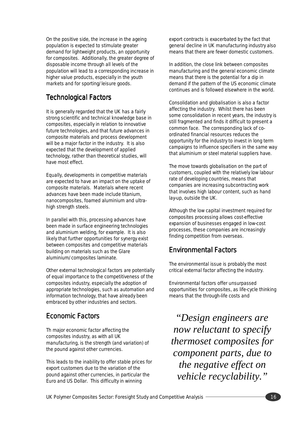On the positive side, the increase in the ageing population is expected to stimulate greater demand for lightweight products, an opportunity for composites. Additionally, the greater degree of disposable income through all levels of the population will lead to a corresponding increase in higher value products, especially in the youth markets and for sporting/leisure goods.

## **Technological Factors**

It is generally regarded that the UK has a fairly strong scientific and technical knowledge base in composites, especially in relation to innovative future technologies, and that future advances in composite materials and process development will be a major factor in the industry. It is also expected that the development of applied technology, rather than theoretical studies, will have most effect.

Equally, developments in competitive materials are expected to have an impact on the uptake of composite materials. Materials where recent advances have been made include titanium, nanocomposites, foamed aluminium and ultrahigh strength steels.

In parallel with this, processing advances have been made in surface engineering technologies and aluminium welding, for example. It is also likely that further opportunities for synergy exist between composites and competitive materials building on materials such as the Glare aluminium/composites laminate.

Other external technological factors are potentially of equal importance to the competitiveness of the composites industry, especially the adoption of appropriate technologies, such as automation and information technology, that have already been embraced by other industries and sectors.

## Economic Factors

Th major economic factor affecting the composites industry, as with all UK manufacturing, is the strength (and variation) of the pound against other currencies.

This leads to the inability to offer stable prices for export customers due to the variation of the pound against other currencies, in particular the Euro and US Dollar. This difficulty in winning

export contracts is exacerbated by the fact that general decline in UK manufacturing industry also means that there are fewer domestic customers.

In addition, the close link between composites manufacturing and the general economic climate means that there is the potential for a dip in demand if the pattern of the US economic climate continues and is followed elsewhere in the world.

Consolidation and globalisation is also a factor affecting the industry. Whilst there has been some consolidation in recent years, the industry is still fragmented and finds it difficult to present a common face. The corresponding lack of coordinated financial resources reduces the opportunity for the industry to invest in long term campaigns to influence specifiers in the same way that aluminium or steel material suppliers have.

The move towards globalisation on the part of customers, coupled with the relatively low labour rate of developing countries, means that companies are increasing subcontracting work that involves high labour content, such as hand lay-up, outside the UK.

Although the low capital investment required for composites processing allows cost-effective expansion of businesses engaged in low-cost processes, these companies are increasingly finding competition from overseas.

## **Environmental Factors**

The environmental issue is probably the most critical external factor affecting the industry.

Environmental factors offer unsurpassed opportunities for composites, as life-cycle thinking means that the through-life costs and

"*Design engineers are now reluctant to specify thermoset composites for component parts, due to the negative effect on vehicle recyclability."*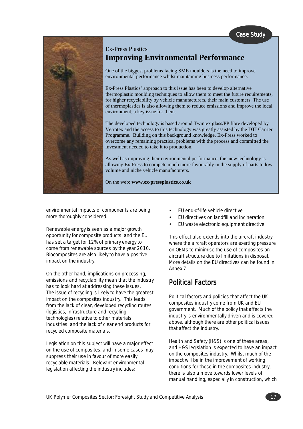

## Ex-Press Plastics **Improving Environmental Performance**

One of the biggest problems facing SME moulders is the need to improve environmental performance whilst maintaining business performance.

Ex-Press Plastics' approach to this issue has been to develop alternative thermoplastic moulding techniques to allow them to meet the future requirements, for higher recyclability by vehicle manufacturers, their main customers. The use of thermoplastics is also allowing them to reduce emissions and improve the local environment, a key issue for them.

The developed technology is based around Twintex glass/PP fibre developed by Vetrotex and the access to this technology was greatly assisted by the DTI Carrier Programme. Building on this background knowledge, Ex-Press worked to overcome any remaining practical problems with the process and committed the investment needed to take it to production.

As well as improving their environmental performance, this new technology is allowing Ex-Press to compete much more favourably in the supply of parts to low volume and niche vehicle manufacturers.

On the web: **www.ex-pressplastics.co.uk**

environmental impacts of components are being more thoroughly considered.

Renewable energy is seen as a major growth opportunity for composite products, and the EU has set a target for 12% of primary energy to come from renewable sources by the year 2010. Biocomposites are also likely to have a positive impact on the industry.

On the other hand, implications on processing, emissions and recyclability mean that the industry has to look hard at addressing these issues. The issue of recycling is likely to have the greatest impact on the composites industry. This leads from the lack of clear, developed recycling routes (logistics, infrastructure and recycling technologies) relative to other materials industries, and the lack of clear end products for recycled composite materials.

Legislation on this subject will have a major effect on the use of composites, and in some cases may suppress their use in favour of more easily recyclable materials. Relevant environmental legislation affecting the industry includes:

- EU end-of-life vehicle directive
- EU directives on landfill and incineration
- EU waste electronic equipment directive

This effect also extends into the aircraft industry, where the aircraft operators are exerting pressure on OEMs to minimise the use of composites on aircraft structure due to limitations in disposal. More details on the EU directives can be found in Annex 7.

## Political Factors

Political factors and policies that affect the UK composites industry come from UK and EU government. Much of the policy that affects the industry is environmentally driven and is covered above, although there are other political issues that affect the industry.

Health and Safety (H&S) is one of these areas, and H&S legislation is expected to have an impact on the composites industry. Whilst much of the impact will be in the improvement of working conditions for those in the composites industry, there is also a move towards lower levels of manual handling, especially in construction, which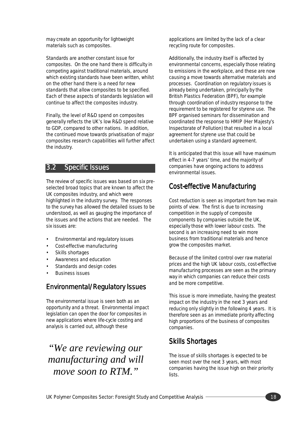may create an opportunity for lightweight materials such as composites.

Standards are another constant issue for composites. On the one hand there is difficulty in competing against traditional materials, around which existing standards have been written, whilst on the other hand there is a need for new standards that allow composites to be specified. Each of these aspects of standards legislation will continue to affect the composites industry.

Finally, the level of R&D spend on composites generally reflects the UK's low R&D spend relative to GDP, compared to other nations. In addition, the continued move towards privatisation of major composites research capabilities will further affect the industry.

## 3.2 Specific Issues

The review of specific issues was based on six preselected broad topics that are known to affect the UK composites industry, and which were highlighted in the industry survey. The responses to the survey has allowed the detailed issues to be understood, as well as gauging the importance of the issues and the actions that are needed. The six issues are:

- Environmental and regulatory issues
- Cost-effective manufacturing
- Skills shortages
- Awareness and education
- Standards and design codes
- Business issues

## Environmental/Regulatory Issues Environmental/Regulatory Issues

The environmental issue is seen both as an opportunity and a threat. Environmental impact legislation can open the door for composites in new applications where life-cycle costing and analysis is carried out, although these

## "*We are reviewing our manufacturing and will move soon to RTM."*

applications are limited by the lack of a clear recycling route for composites.

Additionally, the industry itself is affected by environmental concerns, especially those relating to emissions in the workplace, and these are now causing a move towards alternative materials and processes. Coordination on regulatory issues is already being undertaken, principally by the British Plastics Federation (BPF), for example through coordination of industry response to the requirement to be registered for styrene use. The BPF organised seminars for dissemination and coordinated the response to HMIP (Her Majesty's Inspectorate of Pollution) that resulted in a local agreement for styrene use that could be undertaken using a standard agreement.

It is anticipated that this issue will have maximum effect in 4-7 years' time, and the majority of companies have ongoing actions to address environmental issues.

## Cost-effective Manufacturing

Cost reduction is seen as important from two main points of view. The first is due to increasing competition in the supply of composite components by companies outside the UK, especially those with lower labour costs. The second is an increasing need to win more business from traditional materials and hence grow the composites market.

Because of the limited control over raw material prices and the high UK labour costs, cost-effective manufacturing processes are seen as the primary way in which companies can reduce their costs and be more competitive.

This issue is more immediate, having the greatest impact on the industry in the next 3 years and reducing only slightly in the following 4 years. It is therefore seen as an immediate priority affecting high proportions of the business of composites companies.

## **Skills Shortages**

The issue of skills shortages is expected to be seen most over the next 3 years, with most companies having the issue high on their priority lists.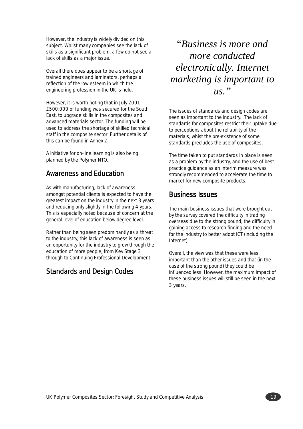However, the industry is widely divided on this subject. Whilst many companies see the lack of skills as a significant problem, a few do not see a lack of skills as a major issue.

Overall there does appear to be a shortage of trained engineers and laminators, perhaps a reflection of the low esteem in which the engineering profession in the UK is held.

However, it is worth noting that in July 2001, £500,000 of funding was secured for the South East, to upgrade skills in the composites and advanced materials sector. The funding will be used to address the shortage of skilled technical staff in the composite sector. Further details of this can be found in Annex 2.

A initiative for on-line learning is also being planned by the Polymer NTO.

## Awareness and Education

As with manufacturing, lack of awareness amongst potential clients is expected to have the greatest impact on the industry in the next 3 years and reducing only slightly in the following 4 years. This is especially noted because of concern at the general level of education below degree level.

Rather than being seen predominantly as a threat to the industry, this lack of awareness is seen as an opportunity for the industry to grow through the education of more people, from Key Stage 3 through to Continuing Professional Development.

## **Standards and Design Codes**

## "*Business is more and more conducted electronically. Internet marketing is important to us."*

The issues of standards and design codes are seen as important to the industry. The lack of standards for composites restrict their uptake due to perceptions about the reliability of the materials, whist the pre-existence of some standards precludes the use of composites.

The time taken to put standards in place is seen as a problem by the industry, and the use of best practice guidance as an interim measure was strongly recommended to accelerate the time to market for new composite products.

## **Business Issues**

The main business issues that were brought out by the survey covered the difficulty in trading overseas due to the strong pound, the difficulty in gaining access to research finding and the need for the industry to better adopt ICT (including the Internet).

Overall, the view was that these were less important than the other issues and that (in the case of the strong pound) they could be influenced less. However, the maximum impact of these business issues will still be seen in the next 3 years.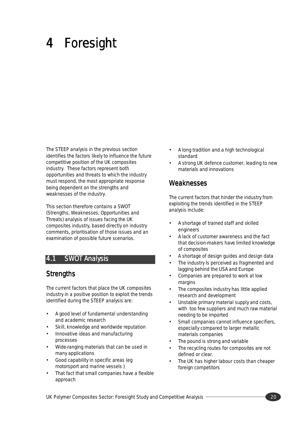# 4 Foresight

The STEEP analysis in the previous section identifies the factors likely to influence the future competitive position of the UK composites industry. These factors represent both opportunities and threats to which the industry must respond, the most appropriate response being dependent on the strengths and weaknesses of the industry.

This section therefore contains a SWOT (Strengths, Weaknesses, Opportunities and Threats) analysis of issues facing the UK composites industry, based directly on industry comments, prioritisation of those issues and an examination of possible future scenarios.

## 4.1 SWOT Analysis

## **Strengths**

The current factors that place the UK composites industry in a positive position to exploit the trends identified during the STEEP analysis are:

- A good level of fundamental understanding and academic research
- Skill, knowledge and worldwide reputation
- Innovative ideas and manufacturing processes
- Wide-ranging materials that can be used in many applications
- Good capability in specific areas (eg motorsport and marine vessels )
- That fact that small companies have a flexible approach
- A long tradition and a high technological standard
- A strong UK defence customer, leading to new materials and innovations

## Weaknesses

The current factors that hinder the industry from exploiting the trends identified in the STEEP analysis include:

- A shortage of trained staff and skilled engineers
- A lack of customer awareness and the fact that decision-makers have limited knowledge of composites
- A shortage of design guides and design data
- The industry Is perceived as fragmented and lagging behind the USA and Europe
- Companies are prepared to work at low margins
- The composites industry has little applied research and development
- Unstable primary material supply and costs, with too few suppliers and much raw material needing to be imported
- Small companies cannot influence specifiers, especially compared to larger metallic materials companies
- The pound is strong and variable
- The recycling routes for composites are not defined or clear.
- The UK has higher labour costs than cheaper foreign competitors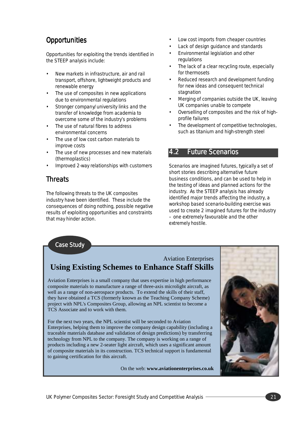## **Opportunities**

Opportunities for exploiting the trends identified in the STEEP analysis include:

- New markets in infrastructure, air and rail transport, offshore, lightweight products and renewable energy
- The use of composites in new applications due to environmental regulations
- Stronger company/university links and the transfer of knowledge from academia to overcome some of the industry's problems
- The use of natural fibres to address environmental concerns
- The use of low cost carbon materials to improve costs
- The use of new processes and new materials (thermoplastics)
- Improved 2-way relationships with customers

## **Threats**

The following threats to the UK composites industry have been identified. These include the consequences of doing nothing, possible negative results of exploiting opportunities and constraints that may hinder action.

- Low cost imports from cheaper countries
- Lack of design guidance and standards
- Environmental legislation and other regulations
- The lack of a clear recycling route, especially for thermosets
- Reduced research and development funding for new ideas and consequent technical stagnation
- Merging of companies outside the UK, leaving UK companies unable to compete
- Overselling of composites and the risk of highprofile failures
- The development of competitive technologies, such as titanium and high-strength steel

#### 4.2 Future Scenarios

Scenarios are imagined futures, typically a set of short stories describing alternative future business conditions, and can be used to help in the testing of ideas and planned actions for the industry. As the STEEP analysis has already identified major trends affecting the industry, a workshop based scenario-building exercise was used to create 2 imagined futures for the industry – one extremely favourable and the other extremely hostile.

#### **Case Study**

## Aviation Enterprises **Using Existing Schemes to Enhance Staff Skills**

Aviation Enterprises is a small company that uses expertise in high performance composite materials to manufacture a range of three-axis microlight aircraft, as well as a range of non-aerospace products. To extend the skills of their staff, they have obtained a TCS (formerly known as the Teaching Company Scheme) project with NPL's Composites Group, allowing an NPL scientist to become a TCS Associate and to work with them.

For the next two years, the NPL scientist will be seconded to Aviation Enterprises, helping them to improve the company design capability (including a traceable materials database and validation of design predictions) by transferring technology from NPL to the company. The company is working on a range of products including a new 2-seater light aircraft, which uses a significant amount of composite materials in its construction. TCS technical support is fundamental to gaining certification for this aircraft.

On the web: **www.aviationenterprises.co.uk**

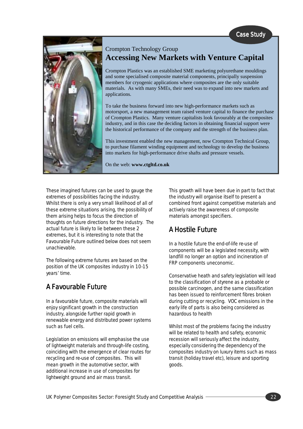

## Crompton Technology Group **Accessing New Markets with Venture Capital**

Crompton Plastics was an established SME marketing polyurethane mouldings and some specialised composite material components, principally suspension members for cryogenic applications where composites are the only suitable materials. As with many SMEs, their need was to expand into new markets and applications.

To take the business forward into new high-performance markets such as motorsport, a new management team raised venture capital to finance the purchase of Crompton Plastics. Many venture capitalists look favourably at the composites industry, and in this case the deciding factors in obtaining financial support were the historical performance of the company and the strength of the business plan.

This investment enabled the new management, now Crompton Technical Group, to purchase filament winding equipment and technology to develop the business into markets for high-performance drive shafts and pressure vessels.

On the web: **www.ctgltd.co.uk**

These imagined futures can be used to gauge the extremes of possibilities facing the industry. Whilst there is only a very small likelihood of all of these extreme situations arising, the possibility of them arising helps to focus the direction of thoughts on future directions for the industry. The actual future is likely to lie between these 2 extremes, but it is interesting to note that the Favourable Future outlined below does not seem unachievable.

The following extreme futures are based on the position of the UK composites industry in 10-15 years' time.

## A Favourable Future

In a favourable future, composite materials will enjoy significant growth in the construction industry, alongside further rapid growth in renewable energy and distributed power systems such as fuel cells.

Legislation on emissions will emphasise the use of lightweight materials and through-life costing, coinciding with the emergence of clear routes for recycling and re-use of composites. This will mean growth in the automotive sector, with additional increase in use of composites for lightweight ground and air mass transit.

This growth will have been due in part to fact that the industry will organise itself to present a combined front against competitive materials and actively raise the awareness of composite materials amongst specifiers.

## A Hostile Future

In a hostile future the end-of-life re-use of components will be a legislated necessity, with landfill no longer an option and incineration of FRP components uneconomic.

Conservative heath and safety legislation will lead to the classification of styrene as a probable or possible carcinogen, and the same classification has been issued to reinforcement fibres broken during cutting or recycling. VOC emissions in the early life of parts is also being considered as hazardous to health

Whilst most of the problems facing the industry will be related to health and safety, economic recession will seriously affect the industry, especially considering the dependency of the composites industry on luxury items such as mass transit (holiday travel etc), leisure and sporting goods.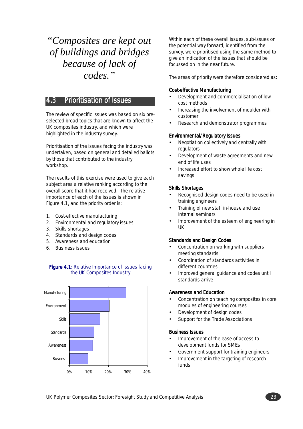"*Composites are kept out of buildings and bridges because of lack of codes."*

## 4.3 Prioritisation of Issues

The review of specific issues was based on six preselected broad topics that are known to affect the UK composites industry, and which were highlighted in the industry survey.

Prioritisation of the issues facing the industry was undertaken, based on general and detailed ballots by those that contributed to the industry workshop.

The results of this exercise were used to give each subject area a relative ranking according to the overall score that it had received. The relative importance of each of the issues is shown in Figure 4.1, and the priority order is:

- 1. Cost-effective manufacturing
- 2. Environmental and regulatory issues
- 3. Skills shortages
- 4. Standards and design codes
- 5. Awareness and education
- 6. Business issues



#### Figure 4.1: Relative Importance of Issues facing the UK Composites Industry

Within each of these overall issues, sub-issues on the potential way forward, identified from the survey, were prioritised using the same method to give an indication of the issues that should be focussed on in the near future.

The areas of priority were therefore considered as:

#### Cost-effective Manufacturing

- Development and commercialisation of lowcost methods
- Increasing the involvement of moulder with customer
- Research and demonstrator programmes

#### Environmental/Regulatory Issues

- Negotiation collectively and centrally with regulators
- Development of waste agreements and new end of life uses
- Increased effort to show whole life cost savings

#### **Skills Shortages**

- Recognised design codes need to be used in training engineers
- Training of new staff in-house and use internal seminars
- Improvement of the esteem of engineering in UK

#### Standards and Design Codes

- Concentration on working with suppliers meeting standards
- Coordination of standards activities in different countries
- Improved general guidance and codes until standards arrive

#### Awareness and Education

- Concentration on teaching composites in core modules of engineering courses
- Development of design codes
- Support for the Trade Associations

#### **Business Issues**

- Improvement of the ease of access to development funds for SMEs
- Government support for training engineers
- Improvement in the targeting of research funds.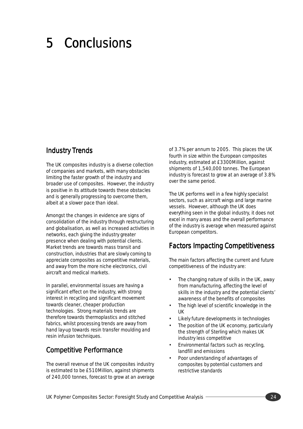# 5 Conclusions

## Industry Trends

The UK composites industry is a diverse collection of companies and markets, with many obstacles limiting the faster growth of the industry and broader use of composites. However, the industry is positive in its attitude towards these obstacles and is generally progressing to overcome them, albeit at a slower pace than ideal.

Amongst the changes in evidence are signs of consolidation of the industry through restructuring and globalisation, as well as increased activities in networks, each giving the industry greater presence when dealing with potential clients. Market trends are towards mass transit and construction, industries that are slowly coming to appreciate composites as competitive materials, and away from the more niche electronics, civil aircraft and medical markets.

In parallel, environmental issues are having a significant effect on the industry, with strong interest in recycling and significant movement towards cleaner, cheaper production technologies. Strong materials trends are therefore towards thermoplastics and stitched fabrics, whilst processing trends are away from hand lay-up towards resin transfer moulding and resin infusion techniques.

## **Competitive Performance**

The overall revenue of the UK composites industry is estimated to be £510Million, against shipments of 240,000 tonnes, forecast to grow at an average of 3.7% per annum to 2005. This places the UK fourth in size within the European composites industry, estimated at £3300Million, against shipments of 1,540,000 tonnes. The European industry is forecast to grow at an average of 3.8% over the same period.

The UK performs well in a few highly specialist sectors, such as aircraft wings and large marine vessels. However, although the UK does everything seen in the global industry, it does not excel in many areas and the overall performance of the industry is average when measured against European competitors.

## Factors Impacting Competitiveness

The main factors affecting the current and future competitiveness of the industry are:

- The changing nature of skills in the UK, away from manufacturing, affecting the level of skills in the industry and the potential clients' awareness of the benefits of composites
- The high level of scientific knowledge in the UK
- Likely future developments in technologies
- The position of the UK economy, particularly the strength of Sterling which makes UK industry less competitive
- Environmental factors such as recycling, landfill and emissions
- Poor understanding of advantages of composites by potential customers and restrictive standards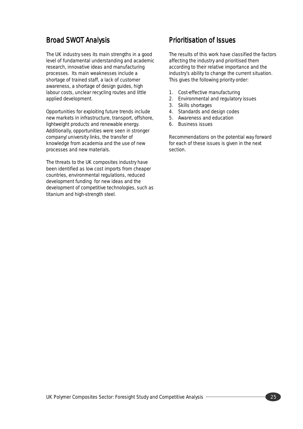## Broad SWOT Analysis

The UK industry sees its main strengths in a good level of fundamental understanding and academic research, innovative ideas and manufacturing processes. Its main weaknesses include a shortage of trained staff, a lack of customer awareness, a shortage of design guides, high labour costs, unclear recycling routes and little applied development.

Opportunities for exploiting future trends include new markets in infrastructure, transport, offshore, lightweight products and renewable energy. Additionally, opportunities were seen in stronger company/university links, the transfer of knowledge from academia and the use of new processes and new materials.

The threats to the UK composites industry have been identified as low cost imports from cheaper countries, environmental regulations, reduced development funding for new ideas and the development of competitive technologies, such as titanium and high-strength steel.

## Prioritisation of Issues

The results of this work have classified the factors affecting the industry and prioritised them according to their relative importance and the industry's ability to change the current situation. This gives the following priority order:

- 1. Cost-effective manufacturing
- 2. Environmental and regulatory issues
- 3. Skills shortages
- 4. Standards and design codes
- 5. Awareness and education
- 6. Business issues

Recommendations on the potential way forward for each of these issues is given in the next section.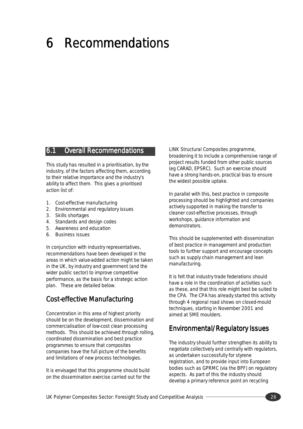# 6 Recommendations

#### **6.1** Overall Recommendations

This study has resulted in a prioritisation, by the industry, of the factors affecting them, according to their relative importance and the industry's ability to affect them. This gives a prioritised action list of:

- 1. Cost-effective manufacturing
- 2. Environmental and regulatory issues
- 3. Skills shortages
- 4. Standards and design codes
- 5. Awareness and education
- 6. Business issues

In conjunction with industry representatives, recommendations have been developed in the areas in which value-added action might be taken in the UK, by industry and government (and the wider public sector) to improve competitive performance, as the basis for a strategic action plan. These are detailed below.

## Cost-effective Manufacturing

Concentration in this area of highest priority should be on the development, dissemination and commercialisation of low-cost clean processing methods. This should be achieved through rolling, coordinated dissemination and best practice programmes to ensure that composites companies have the full picture of the benefits and limitations of new process technologies.

It is envisaged that this programme should build on the dissemination exercise carried out for the LINK Structural Composites programme, broadening it to include a comprehensive range of project results funded from other public sources (eg CARAD, EPSRC). Such an exercise should have a strong hands-on, practical bias to ensure the widest possible uptake.

In parallel with this, best practice in composite processing should be highlighted and companies actively supported in making the transfer to cleaner cost-effective processes, through workshops, guidance information and demonstrators.

This should be supplemented with dissemination of best practice in management and production tools to further support and encourage concepts such as supply chain management and lean manufacturing.

It is felt that industry trade federations should have a role in the coordination of activities such as these, and that this role might best be suited to the CPA. The CPA has already started this activity through 4 regional road shows on closed-mould techniques, starting in November 2001 and aimed at SME moulders.

## Environmental/Regulatory Issues Environmental/Regulatory Issues

The industry should further strengthen its ability to negotiate collectively and centrally with regulators, as undertaken successfully for styrene registration, and to provide input into European bodies such as GPRMC (via the BPF) on regulatory aspects. As part of this the industry should develop a primary reference point on recycling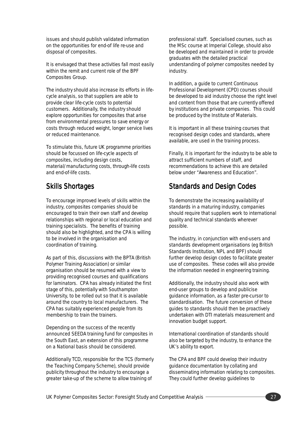issues and should publish validated information on the opportunities for end-of life re-use and disposal of composites.

It is envisaged that these activities fall most easily within the remit and current role of the BPF Composites Group.

The industry should also increase its efforts in lifecycle analysis, so that suppliers are able to provide clear life-cycle costs to potential customers. Additionally, the industry should explore opportunities for composites that arise from environmental pressures to save energy or costs through reduced weight, longer service lives or reduced maintenance.

To stimulate this, future UK programme priorities should be focussed on life-cycle aspects of composites, including design costs, material/manufacturing costs, through-life costs and end-of-life costs.

## **Skills Shortages**

To encourage improved levels of skills within the industry, composites companies should be encouraged to train their own staff and develop relationships with regional or local education and training specialists. The benefits of training should also be highlighted, and the CPA is willing to be involved in the organisation and coordination of training.

As part of this, discussions with the BPTA (British Polymer Training Association) or similar organisation should be resumed with a view to providing recognised courses and qualifications for laminators. CPA has already initiated the first stage of this, potentially with Southampton University, to be rolled out so that it is available around the country to local manufacturers. The CPA has suitably experienced people from its membership to train the trainers.

Depending on the success of the recently announced SEEDA training fund for composites in the South East, an extension of this programme on a National basis should be considered.

Additionally TCD, responsible for the TCS (formerly the Teaching Company Scheme), should provide publicity throughout the industry to encourage a greater take-up of the scheme to allow training of

professional staff. Specialised courses, such as the MSc course at Imperial College, should also be developed and maintained in order to provide graduates with the detailed practical understanding of polymer composites needed by industry.

In addition, a guide to current Continuous Professional Development (CPD) courses should be developed to aid industry choose the right level and content from those that are currently offered by institutions and private companies. This could be produced by the Institute of Materials.

It is important in all these training courses that recognised design codes and standards, where available, are used in the training process.

Finally, it is important for the industry to be able to attract sufficient numbers of staff, and recommendations to achieve this are detailed below under "Awareness and Education".

## Standards and Design Codes

To demonstrate the increasing availability of standards in a maturing industry, companies should require that suppliers work to international quality and technical standards wherever possible.

The industry, in conjunction with end-users and standards development organisations (eg British Standards Institution, NPL and BPF) should further develop design codes to facilitate greater use of composites. These codes will also provide the information needed in engineering training.

Additionally, the industry should also work with end-user groups to develop and publicise guidance information, as a faster pre-cursor to standardisation. The future conversion of these guides to standards should then be proactively undertaken with DTI materials measurement and innovation budget support.

International coordination of standards should also be targeted by the industry, to enhance the UK's ability to export.

The CPA and BPF could develop their industry guidance documentation by collating and disseminating information relating to composites. They could further develop guidelines to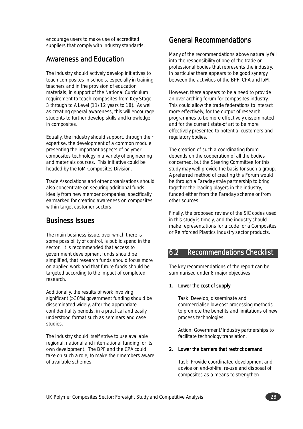encourage users to make use of accredited suppliers that comply with industry standards.

## Awareness and Education

The industry should actively develop initiatives to teach composites in schools, especially in training teachers and in the provision of education materials, in support of the National Curriculum requirement to teach composites from Key Stage 3 through to A Level (11/12 years to 18). As well as creating general awareness, this will encourage students to further develop skills and knowledge in composites.

Equally, the industry should support, through their expertise, the development of a common module presenting the important aspects of polymer composites technology in a variety of engineering and materials courses. This initiative could be headed by the IoM Composites Division.

Trade Associations and other organisations should also concentrate on securing additional funds, ideally from new member companies, specifically earmarked for creating awareness on composites within target customer sectors.

## **Business Issues**

The main business issue, over which there is some possibility of control, is public spend in the sector. It is recommended that access to government development funds should be simplified, that research funds should focus more on applied work and that future funds should be targeted according to the impact of completed research.

Additionally, the results of work involving significant (>30%) government funding should be disseminated widely, after the appropriate confidentiality periods, in a practical and easily understood format such as seminars and case studies.

The industry should itself strive to use available regional, national and international funding for its own development. The BPF and the CPA could take on such a role, to make their members aware of available schemes.

## General Recommendations

Many of the recommendations above naturally fall into the responsibility of one of the trade or professional bodies that represents the industry. In particular there appears to be good synergy between the activities of the BPF, CPA and IoM.

However, there appears to be a need to provide an over-arching forum for composites industry. This could allow the trade federations to interact more effectively, for the output of research programmes to be more effectively disseminated and for the current state-of art to be more effectively presented to potential customers and regulatory bodies.

The creation of such a coordinating forum depends on the cooperation of all the bodies concerned, but the Steering Committee for this study may well provide the basis for such a group. A preferred method of creating this Forum would be through a Faraday style partnership to bring together the leading players in the industry, funded either from the Faraday scheme or from other sources.

Finally, the proposed review of the SIC codes used in this study is timely, and the industry should make representations for a code for a Composites or Reinforced Plastics industry sector products.

## 6.2 Recommendations Checklist

The key recommendations of the report can be summarised under 8 major objectives:

#### 1. Lower the cost of supply

Task: Develop, disseminate and commercialise low-cost processing methods to promote the benefits and limitations of new process technologies.

Action: Government/Industry partnerships to facilitate technology translation.

#### 2. Lower the barriers that restrict demand

Task: Provide coordinated development and advice on end-of-life, re-use and disposal of composites as a means to strengthen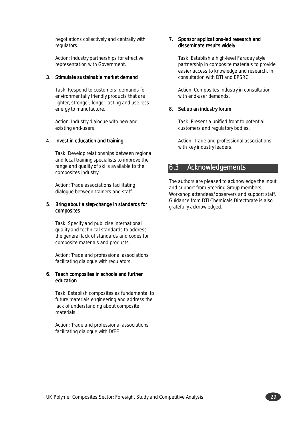negotiations collectively and centrally with regulators.

Action: Industry partnerships for effective representation with Government.

#### 3. Stimulate sustainable market demand

Task: Respond to customers' demands for environmentally friendly products that are lighter, stronger, longer-lasting and use less energy to manufacture.

Action: Industry dialogue with new and existing end-users.

#### 4. Invest in education and training

Task: Develop relationships between regional and local training specialists to improve the range and quality of skills available to the composites industry.

Action: Trade associations facilitating dialogue between trainers and staff.

#### 5. Bring about a step-change in standards for composites

Task: Specify and publicise international quality and technical standards to address the general lack of standards and codes for composite materials and products.

Action: Trade and professional associations facilitating dialogue with regulators.

#### 6. Teach composites in schools and further education

Task: Establish composites as fundamental to future materials engineering and address the lack of understanding about composite materials.

Action: Trade and professional associations facilitating dialogue with DfEE

#### 7. Sponsor applications-led research and disseminate results widely

Task: Establish a high-level Faraday style partnership in composite materials to provide easier access to knowledge and research, in consultation with DTI and EPSRC.

Action: Composites industry in consultation with end-user demands.

#### 8. Set up an industry forum

Task: Present a unified front to potential customers and regulatory bodies.

Action: Trade and professional associations with key industry leaders.

## 6.3 Acknowledgements

The authors are pleased to acknowledge the input and support from Steering Group members, Workshop attendees/observers and support staff. Guidance from DTI Chemicals Directorate is also gratefully acknowledged.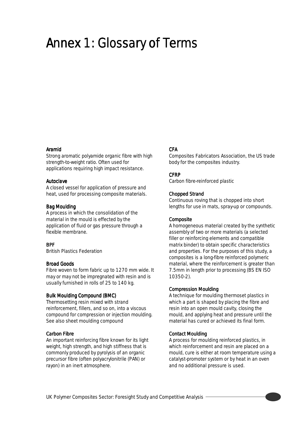# Annex 1: Glossary of Terms

#### Aramid

Strong aromatic polyamide organic fibre with high strength-to-weight ratio. Often used for applications requiring high impact resistance.

#### **Autoclave**

A closed vessel for application of pressure and heat, used for processing composite materials.

#### **Bag Moulding**

A process in which the consolidation of the material in the mould is effected by the application of fluid or gas pressure through a flexible membrane.

#### **RPF**

British Plastics Federation

#### **Broad Goods**

Fibre woven to form fabric up to 1270 mm wide. It may or may not be impregnated with resin and is usually furnished in rolls of 25 to 140 kg.

#### Bulk Moulding Compound (BMC)

Thermosetting resin mixed with strand reinforcement, fillers, and so on, into a viscous compound for compression or injection moulding. See also *sheet moulding compound*

#### Carbon Fibre

An important reinforcing fibre known for its light weight, high strength, and high stiffness that is commonly produced by pyrolysis of an organic precursor fibre (often polyacrylonitrile (PAN) or rayon) in an inert atmosphere.

#### CFA

Composites Fabricators Association, the US trade body for the composites industry.

#### CFRP

Carbon fibre-reinforced plastic

#### Chopped Strand

Continuous roving that is chopped into short lengths for use in mats, spray-up or compounds.

#### **Composite**

A homogeneous material created by the synthetic assembly of two or more materials (a selected filler or reinforcing elements and compatible matrix binder) to obtain specific characteristics and properties. For the purposes of this study, a composites is a long-fibre reinforced polymeric material, where the reinforcement is greater than 7.5mm in length prior to processing (BS EN ISO 10350-2).

#### Compression Moulding

A technique for moulding thermoset plastics in which a part is shaped by placing the fibre and resin into an open mould cavity, closing the mould, and applying heat and pressure until the material has cured or achieved its final form.

#### **Contact Moulding**

A process for moulding reinforced plastics, in which reinforcement and resin are placed on a mould, cure is either at room temperature using a catalyst-promoter system or by heat in an oven and no additional pressure is used.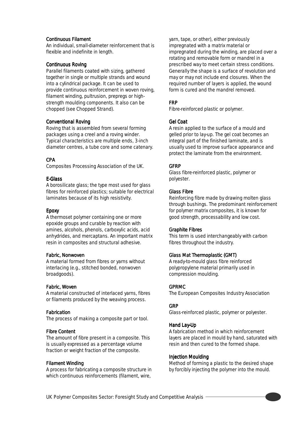#### Continuous Filament

An individual, small-diameter reinforcement that is flexible and indefinite in length.

#### Continuous Roving

Parallel filaments coated with sizing, gathered together in single or multiple strands and wound into a cylindrical package. It can be used to provide continuous reinforcement in woven roving, filament winding, pultrusion, prepregs or highstrength moulding components. It also can be chopped (see *Chopped Strand*).

#### **Conventional Roving**

Roving that is assembled from several forming packages using a creel and a roving winder. Typical characteristics are multiple ends, 3-inch diameter centres, a tube core and some catenary.

#### CPA

Composites Processing Association of the UK.

#### E-Glass

A borosilicate glass; the type most used for glass fibres for reinforced plastics; suitable for electrical laminates because of its high resistivity.

#### Epoxy

A thermoset polymer containing one or more epoxide groups and curable by reaction with amines, alcohols, phenols, carboxylic acids, acid anhydrides, and mercaptans. An important matrix resin in composites and structural adhesive.

#### Fabric, Nonwoven

A material formed from fibres or yarns without interlacing (e.g., stitched bonded, nonwoven broadgoods).

#### Fabric, Woven

A material constructed of interlaced yarns, fibres or filaments produced by the weaving process.

#### **Fabrication**

The process of making a composite part or tool.

#### **Fibre Content**

The amount of fibre present in a composite. This is usually expressed as a percentage volume fraction or weight fraction of the composite.

#### Filament Winding

A process for fabricating a composite structure in which continuous reinforcements (filament, wire,

yarn, tape, or other), either previously impregnated with a matrix material or impregnated during the winding, are placed over a rotating and removable form or mandrel in a prescribed way to meet certain stress conditions. Generally the shape is a surface of revolution and may or may not include end closures. When the required number of layers is applied, the wound form is cured and the mandrel removed.

#### FRP

Fibre-reinforced plastic or polymer.

#### Gel Coat

A resin applied to the surface of a mould and gelled prior to lay-up. The gel coat becomes an integral part of the finished laminate, and is usually used to improve surface appearance and protect the laminate from the environment.

#### **GFRP**

Glass fibre-reinforced plastic, polymer or polyester.

#### **Glass Fibre**

Reinforcing fibre made by drawing molten glass through bushings. The predominant reinforcement for polymer matrix composites, it is known for good strength, processability and low cost.

#### **Graphite Fibres**

This term is used interchangeably with carbon fibres throughout the industry.

#### Glass Mat Thermoplastic (GMT)

A ready-to-mould glass fibre reinforced polypropylene material primarily used in compression moulding.

#### GPRMC

The European Composites Industry Association

#### GRP

Glass-reinforced plastic, polymer or polyester.

#### Hand Lay-Up

A fabrication method in which reinforcement layers are placed in mould by hand, saturated with resin and then cured to the formed shape.

#### Injection Moulding

Method of forming a plastic to the desired shape by forcibly injecting the polymer into the mould.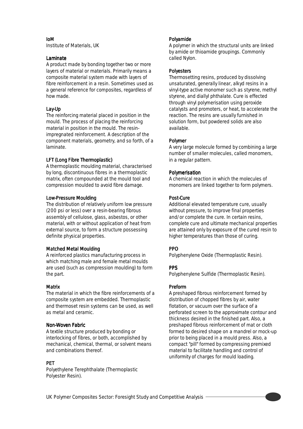#### IoM

Institute of Materials, UK

#### Laminate

A product made by bonding together two or more layers of material or materials. Primarily means a composite material system made with layers of fibre reinforcement in a resin. Sometimes used as a general reference for composites, regardless of how made.

#### Lay-Up

The reinforcing material placed in position in the mould. The process of placing the reinforcing material in position in the mould. The resinimpregnated reinforcement. A description of the component materials, geometry, and so forth, of a laminate.

#### LFT (Long Fibre Thermoplastic)

A thermoplastic moulding material, characterised by long, discontinuous fibres in a thermoplastic matrix, often compounded at the mould tool and compression moulded to avoid fibre damage.

#### Low-Pressure Moulding

The distribution of relatively uniform low pressure (200 psi or less) over a resin-bearing fibrous assembly of cellulose, glass, asbestos, or other material, with or without application of heat from external source, to form a structure possessing definite physical properties.

#### Matched Metal Moulding

A reinforced plastics manufacturing process in which matching male and female metal moulds are used (such as compression moulding) to form the part.

#### **Matrix**

The material in which the fibre reinforcements of a composite system are embedded. Thermoplastic and thermoset resin systems can be used, as well as metal and ceramic.

#### Non-Woven Fabric

A textile structure produced by bonding or interlocking of fibres, or both, accomplished by mechanical, chemical, thermal, or solvent means and combinations thereof.

#### **PFT**

Polyethylene Terephthalate (Thermoplastic Polyester Resin).

#### Polyamide

A polymer in which the structural units are linked by amide or thioamide groupings. Commonly called Nylon.

#### **Polvesters**

Thermosetting resins, produced by dissolving unsaturated, generally linear, alkyd resins in a vinyl-type active monomer such as styrene, methyl styrene, and diallyl phthalate. Cure is effected through vinyl polymerisation using peroxide catalysts and promoters, or heat, to accelerate the reaction. The resins are usually furnished in solution form, but powdered solids are also available.

#### Polymer

A very large molecule formed by combining a large number of smaller molecules, called monomers, in a regular pattern.

#### **Polymerisation**

A chemical reaction in which the molecules of monomers are linked together to form polymers.

#### Post-Cure

Additional elevated temperature cure, usually without pressure, to improve final properties and/or complete the cure. In certain resins, complete cure and ultimate mechanical properties are attained only by exposure of the cured resin to higher temperatures than those of curing.

#### PPO

Polyphenylene Oxide (Thermoplastic Resin).

#### PPS

Polyphenylene Sulfide (Thermoplastic Resin).

#### Preform

A preshaped fibrous reinforcement formed by distribution of chopped fibres by air, water flotation, or vacuum over the surface of a perforated screen to the approximate contour and thickness desired in the finished part. Also, a preshaped fibrous reinforcement of mat or cloth formed to desired shape on a mandrel or mock-up prior to being placed in a mould press. Also, a compact "pill" formed by compressing premixed material to facilitate handling and control of uniformity of charges for mould loading.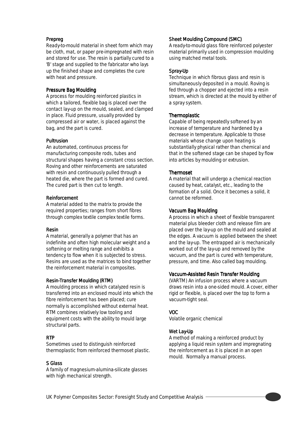#### Prepreg

Ready-to-mould material in sheet form which may be cloth, mat, or paper pre-impregnated with resin and stored for use. The resin is partially cured to a 'B' stage and supplied to the fabricator who lays up the finished shape and completes the cure with heat and pressure.

#### Pressure Bag Moulding

A process for moulding reinforced plastics in which a tailored, flexible bag is placed over the contact lay-up on the mould, sealed, and clamped in place. Fluid pressure, usually provided by compressed air or water, is placed against the bag, and the part is cured.

#### Pultrusion

An automated, continuous process for manufacturing composite rods, tubes and structural shapes having a constant cross section. Roving and other reinforcements are saturated with resin and continuously pulled through a heated die, where the part is formed and cured. The cured part is then cut to length.

#### **Reinforcement**

A material added to the matrix to provide the required properties; ranges from short fibres through complex textile complex textile forms.

#### Resin

A material, generally a polymer that has an indefinite and often high molecular weight and a softening or melting range and exhibits a tendency to flow when it is subjected to stress. Resins are used as the matrices to bind together the reinforcement material in composites.

#### Resin-Transfer Moulding (RTM)

A moulding process in which catalyzed resin is transferred into an enclosed mould into which the fibre reinforcement has been placed; cure normally is accomplished without external heat. RTM combines relatively low tooling and equipment costs with the ability to mould large structural parts.

#### **RTP**

Sometimes used to distinguish reinforced thermoplastic from reinforced thermoset plastic.

#### S Glass

A family of magnesium-alumina-silicate glasses with high mechanical strength.

#### Sheet Moulding Compound (SMC)

A ready-to-mould glass fibre reinforced polyester material primarily used in compression moulding using matched metal tools.

#### Spray-Up

Technique in which fibrous glass and resin is simultaneously deposited in a mould. Roving is fed through a chopper and ejected into a resin stream, which is directed at the mould by either of a spray system.

#### **Thermoplastic**

Capable of being repeatedly softened by an increase of temperature and hardened by a decrease in temperature. Applicable to those materials whose change upon heating is substantially physical rather than chemical and that in the softened stage can be shaped by flow into articles by moulding or extrusion.

#### **Thermoset**

A material that will undergo a chemical reaction caused by heat, catalyst, etc., leading to the formation of a solid. Once it becomes a solid, it cannot be reformed.

#### Vacuum Bag Moulding

A process in which a sheet of flexible transparent material plus bleeder cloth and release film are placed over the lay-up on the mould and sealed at the edges. A vacuum is applied between the sheet and the lay-up. The entrapped air is mechanically worked out of the lay-up and removed by the vacuum, and the part is cured with temperature, pressure, and time. Also called *bag moulding*.

#### Vacuum-Assisted Resin Transfer Moulding

(VARTM) An infusion process where a vacuum draws resin into a one-sided mould. A cover, either rigid or flexible, is placed over the top to form a vacuum-tight seal.

#### VOC

Volatile organic chemical

#### Wet Lay-Up

A method of making a reinforced product by applying a liquid resin system and impregnating the reinforcement as it is placed in an open mould. Normally a manual process.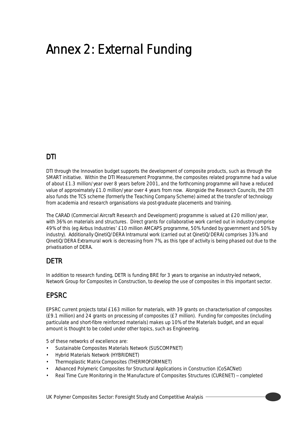# Annex 2: External Funding

## DTI

DTI through the Innovation budget supports the development of composite products, such as through the SMART initiative. Within the DTI Measurement Programme, the composites related programme had a value of about £1.3 million/year over 8 years before 2001, and the forthcoming programme will have a reduced value of approximately £1.0 million/year over 4 years from now. Alongside the Research Councils, the DTI also funds the TCS scheme (formerly the Teaching Company Scheme) aimed at the transfer of technology from academia and research organisations via post-graduate placements and training.

The CARAD (Commercial Aircraft Research and Development) programme is valued at £20 million/year, with 36% on materials and structures. Direct grants for collaborative work carried out in industry comprise 49% of this (eg Airbus Industries' £10 million AMCAPS programme, 50% funded by government and 50% by industry). Additionally QinetiQ/DERA Intramural work (carried out at QinetiQ/DERA) comprises 33% and QinetiQ/DERA Extramural work is decreasing from 7%, as this type of activity is being phased out due to the privatisation of DERA.

## DETR

In addition to research funding, DETR is funding BRE for 3 years to organise an industry-led network, Network Group for Composites in Construction, to develop the use of composites in this important sector.

## **EPSRC**

EPSRC current projects total £163 million for materials, with 39 grants on characterisation of composites (£9.1 million) and 24 grants on processing of composites (£7 million). Funding for composites (including particulate and short-fibre reinforced materials) makes up 10% of the Materials budget, and an equal amount is thought to be coded under other topics, such as Engineering.

5 of these networks of excellence are:

- Sustainable Composites Materials Network (SUSCOMPNET)
- Hybrid Materials Network (HYBRIDNET)
- Thermoplastic Matrix Composites (THERMOFORMNET)
- Advanced Polymeric Composites for Structural Applications in Construction (CoSACNet)
- Real Time Cure Monitoring in the Manufacture of Composites Structures (CURENET) -- completed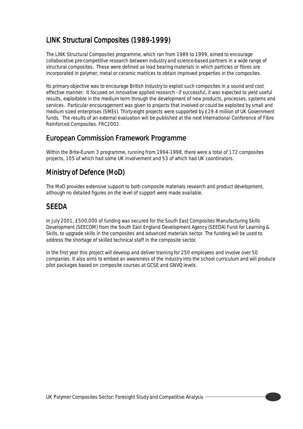## LINK Structural Composites (1989-1999)

The LINK Structural Composites programme, which ran from 1989 to 1999, aimed to encourage collaborative pre-competitive research between industry and science-based partners in a wide range of structural composites. These were defined as load bearing materials in which particles or fibres are incorporated in polymer, metal or ceramic matrices to obtain improved properties in the composites.

Its primary objective was to encourage British Industry to exploit such composites in a sound and cost effective manner. It focused on innovative applied research - if successful, it was expected to yield useful results, exploitable in the medium term through the development of new products, processes, systems and services. Particular encouragement was given to projects that involved or could be exploited by small and medium sized enterprises (SMEs). Thirty-eight projects were supported by £29.4 million of UK Government funds. The results of an external evaluation will be published at the next International Conference of Fibre Reinforced Composites. FRC2002.

## **European Commission Framework Programme**

Within the Brite-Euram 3 programme, running from 1994-1998, there were a total of 172 composites projects, 105 of which had some UK involvement and 53 of which had UK coordinators.

## Ministry of Defence (MoD)

The MoD provides extensive support to both composite materials research and product development, although no detailed figures on the level of support were made available.

## **SEEDA**

In July 2001, £500,000 of funding was secured for the South East Composites Manufacturing Skills Development (SEECOM) from the South East England Development Agency (SEEDA) Fund for Learning & Skills, to upgrade skills in the composites and advanced materials sector. The funding will be used to address the shortage of skilled technical staff in the composite sector.

In the first year this project will develop and deliver training for 250 employees and involve over 50 companies. It also aims to embed an awareness of the industry into the school curriculum and will produce pilot packages based on composite courses at GCSE and GNVQ levels.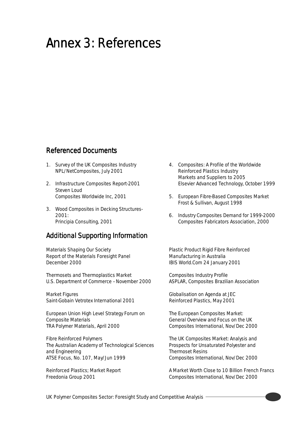# Annex 3: References

## Referenced Documents

- 1. Survey of the UK Composites Industry NPL/NetComposites, July 2001
- 2. Infrastructure Composites Report-2001 Steven Loud Composites Worldwide Inc, 2001
- 3. Wood Composites in Decking Structures-2001: Principia Consulting, 2001

## Additional Supporting Information

Materials Shaping Our Society Report of the Materials Foresight Panel December 2000

Thermosets and Thermoplastics Market U.S. Department of Commerce –November 2000

Market Figures Saint-Gobain Vetrotex International 2001

European Union High Level Strategy Forum on Composite Materials TRA Polymer Materials, April 2000

Fibre Reinforced Polymers The Australian Academy of Technological Sciences and Engineering ATSE Focus, No. 107, May/Jun 1999

Reinforced Plastics; Market Report Freedonia Group 2001

- 4. Composites: A Profile of the Worldwide Reinforced Plastics Industry Markets and Suppliers to 2005 Elsevier Advanced Technology, October 1999
- 5. European Fibre-Based Composites Market Frost & Sullivan, August 1998
- 6. Industry Composites Demand for 1999-2000 Composites Fabricators Association, 2000

Plastic Product Rigid Fibre Reinforced Manufacturing in Australia IBIS World.Com 24 January 2001

Composites Industry Profile ASPLAR, Composites Brazilian Association

Globalisation on Agenda at JEC Reinforced Plastics, May 2001

The European Composites Market: General Overview and Focus on the UK Composites International, Nov/Dec 2000

The UK Composites Market: Analysis and Prospects for Unsaturated Polyester and Thermoset Resins Composites International, Nov/Dec 2000

A Market Worth Close to 10 Billion French Francs Composites International, Nov/Dec 2000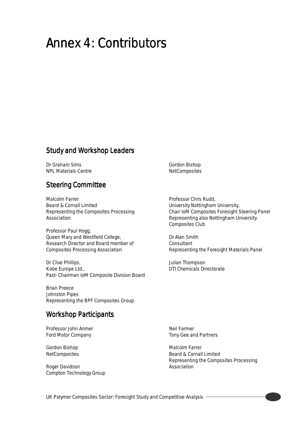# Annex 4: Contributors

## Study and Workshop Leaders

Dr Graham Sims NPL Materials Centre

## **Steering Committee**

Malcolm Farrer Beard & Cornall Limited *Representing the Composites Processing Association* 

Professor Paul Hogg, Queen Mary and Westfield College, *Research Director and Board member of Composites Processing Association* 

Dr Clive Phillips, Kobe Europe Ltd., *Past- Chairman IoM Composite Division Board* 

Brian Preece Johnston Pipes *Representing the BPF Composites Group* 

## Workshop Participants

Professor John Anmer Ford Motor Company

Gordon Bishop **NetComposites** 

Roger Davidson Compton Technology Group Gordon Bishop **NetComposites** 

Professor Chris Rudd, University Nottingham University, *Chair IoM Composites Foresight Steering Panel Representing also Nottingham University Composites Club*

Dr Alan Smith Consultant *Representing the Foresight Materials Panel* 

Julian Thompson DTI Chemicals Directorate

Neil Farmer Tony Gee and Partners

Malcolm Farrer Beard & Cornall Limited *Representing the Composites Processing Association*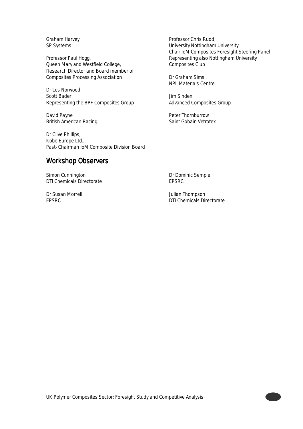Graham Harvey SP Systems

Professor Paul Hogg, Queen Mary and Westfield College, *Research Director and Board member of Composites Processing Association* 

Dr Les Norwood Scott Bader *Representing the BPF Composites Group* 

David Payne British American Racing

Dr Clive Phillips, Kobe Europe Ltd., *Past- Chairman IoM Composite Division Board* 

## Workshop Observers

Simon Cunnington DTI Chemicals Directorate

Dr Susan Morrell EPSRC

Professor Chris Rudd, University Nottingham University, *Chair IoM Composites Foresight Steering Panel Representing also Nottingham University Composites Club* 

Dr Graham Sims NPL Materials Centre

Jim Sinden Advanced Composites Group

Peter Thornburrow Saint Gobain Vetrotex

Dr Dominic Semple EPSRC

Julian Thompson DTI Chemicals Directorate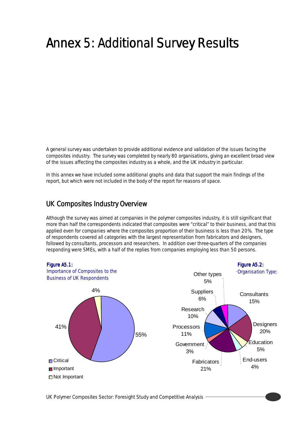# Annex 5: Additional Survey Results

A general survey was undertaken to provide additional evidence and validation of the issues facing the composites industry. The survey was completed by nearly 80 organisations, giving an excellent broad view of the issues affecting the composites industry as a whole, and the UK industry in particular.

In this annex we have included some additional graphs and data that support the main findings of the report, but which were not included in the body of the report for reasons of space.

## UK Composites Industry Overview

Although the survey was aimed at companies in the polymer composites industry, it is still significant that more than half the correspondents indicated that composites were "critical" to their business, and that this applied even for companies where the composites proportion of their business is less than 20%. The type of respondents covered all categories with the largest representation from fabricators and designers, followed by consultants, processors and researchers. In addition over three-quarters of the companies responding were SMEs, with a half of the replies from companies employing less than 50 persons.

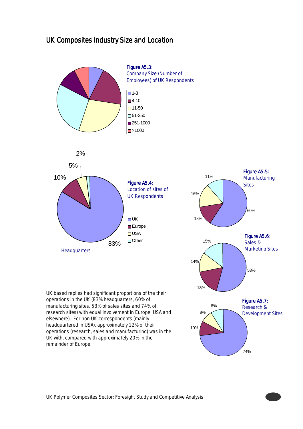## UK Composites Industry Size and Location



74%

remainder of Europe.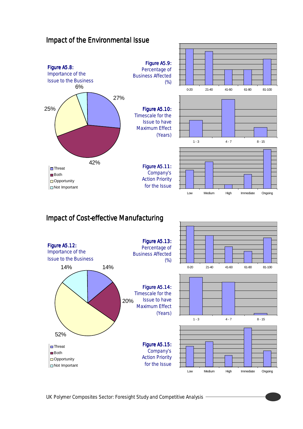## Impact of the Environmental Issue



## Impact of Cost-effective Manufacturing

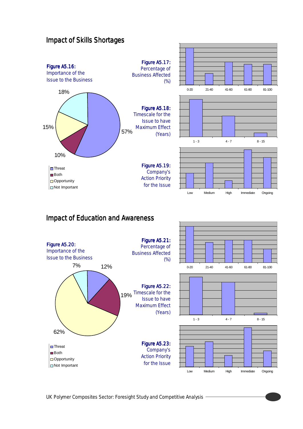## Impact of Skills Shortages



## Impact of Education and Awareness

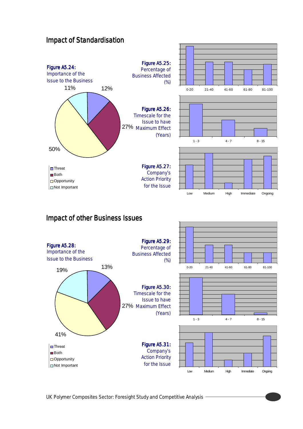## **Impact of Standardisation**



## Impact of other Business Issues

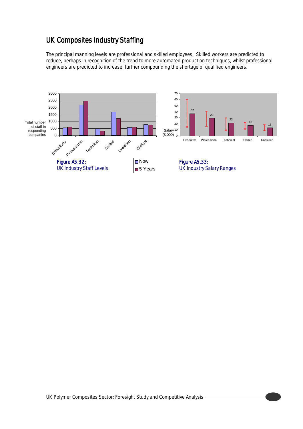## UK Composites Industry Staffing

The principal manning levels are professional and skilled employees. Skilled workers are predicted to reduce, perhaps in recognition of the trend to more automated production techniques, whilst professional engineers are predicted to increase, further compounding the shortage of qualified engineers.

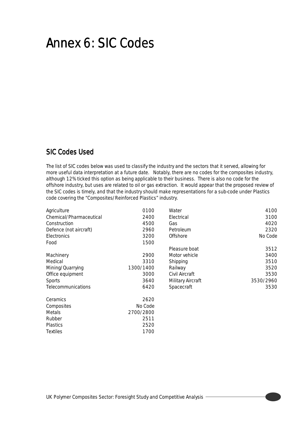# Annex 6: SIC Codes

## SIC Codes Used

The list of SIC codes below was used to classify the industry and the sectors that it served, allowing for more useful data interpretation at a future date. Notably, there are no codes for the composites industry, although 12% ticked this option as being applicable to their business. There is also no code for the offshore industry, but uses are related to oil or gas extraction. It would appear that the proposed review of the SIC codes is timely, and that the industry should make representations for a sub-code under Plastics code covering the "Composites/Reinforced Plastics" industry.

| Agriculture             | 0100      | Water                    | 4100      |
|-------------------------|-----------|--------------------------|-----------|
| Chemical/Pharmaceutical | 2400      | Electrical               | 3100      |
| Construction            | 4500      | Gas                      | 4020      |
| Defence (not aircraft)  | 2960      | Petroleum                | 2320      |
| Electronics             | 3200      | Offshore                 | No Code   |
| Food                    | 1500      |                          |           |
|                         |           | Pleasure boat            | 3512      |
| Machinery               | 2900      | Motor vehicle            | 3400      |
| Medical                 | 3310      | Shipping                 | 3510      |
| Mining/Quarrying        | 1300/1400 | Railway                  | 3520      |
| Office equipment        | 3000      | Civil Aircraft           | 3530      |
| <b>Sports</b>           | 3640      | <b>Military Aircraft</b> | 3530/2960 |
| Telecommunications      | 6420      | Spacecraft               | 3530      |
| Ceramics                | 2620      |                          |           |
| Composites              | No Code   |                          |           |
| Metals                  | 2700/2800 |                          |           |
| Rubber                  | 2511      |                          |           |
| <b>Plastics</b>         | 2520      |                          |           |
| <b>Textiles</b>         | 1700      |                          |           |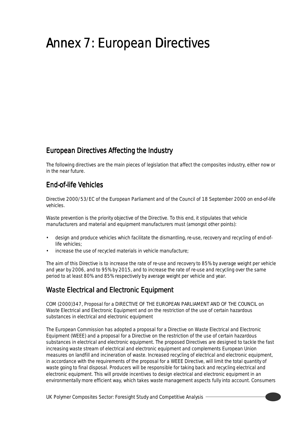# Annex 7: European Directives

## European Directives Affecting the Industry

The following directives are the main pieces of legislation that affect the composites industry, either now or in the near future.

## **End-of-life Vehicles**

Directive 2000/53/EC of the European Parliament and of the Council of 18 September 2000 on end-of-life vehicles.

Waste prevention is the priority objective of the Directive. To this end, it stipulates that vehicle manufacturers and material and equipment manufacturers must (amongst other points):

- design and produce vehicles which facilitate the dismantling, re-use, recovery and recycling of end-oflife vehicles;
- increase the use of recycled materials in vehicle manufacture;

The aim of this Directive is to increase the rate of re-use and recovery to 85% by average weight per vehicle and year by 2006, and to 95% by 2015, and to increase the rate of re-use and recycling over the same period to at least 80% and 85% respectively by average weight per vehicle and year.

## Waste Electrical and Electronic Equipment

COM (2000)347, Proposal for a DIRECTIVE OF THE EUROPEAN PARLIAMENT AND OF THE COUNCIL on Waste Electrical and Electronic Equipment and on the restriction of the use of certain hazardous substances in electrical and electronic equipment

The European Commission has adopted a proposal for a Directive on Waste Electrical and Electronic Equipment (WEEE) and a proposal for a Directive on the restriction of the use of certain hazardous substances in electrical and electronic equipment. The proposed Directives are designed to tackle the fast increasing waste stream of electrical and electronic equipment and complements European Union measures on landfill and incineration of waste. Increased recycling of electrical and electronic equipment, in accordance with the requirements of the proposal for a WEEE Directive, will limit the total quantity of waste going to final disposal. Producers will be responsible for taking back and recycling electrical and electronic equipment. This will provide incentives to design electrical and electronic equipment in an environmentally more efficient way, which takes waste management aspects fully into account. Consumers